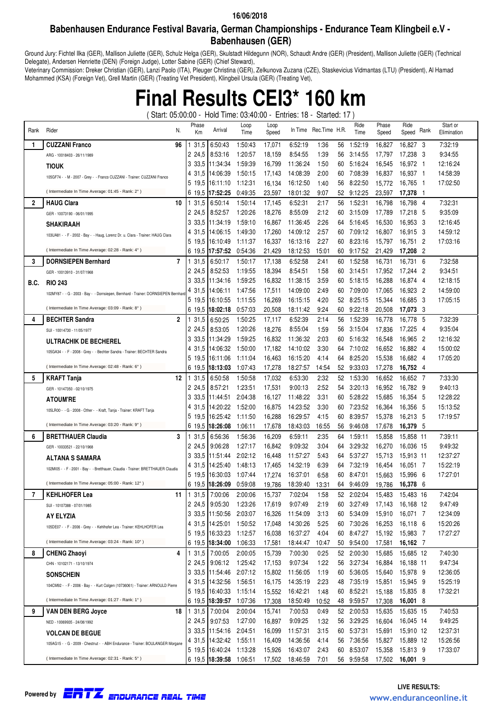### **Babenhausen Endurance Festival Bavaria, German Championships - Endurance Team Klingbeil e.V - Babenhausen (GER)**

Ground Jury: Fichtel Ilka (GER), Mallison Juliette (GER), Schulz Helga (GER), Skulstadt Hildegunn (NOR), Schaudt Andre (GER) (President), Mallison Juliette (GER) (Technical Delegate), Andersen Henriette (DEN) (Foreign Judge), Lotter Sabine (GER) (Chief Steward),

Veterinary Commission: Dreker Christian (GER), Lanzi Paolo (ITA), Pleuger Christina (GER), Zelkunova Zuzana (CZE), Staskevicius Vidmantas (LTU) (President), Al Hamad Mohammed (KSA) (Foreign Vet), Grell Martin (GER) (Treating Vet President), Klingbeil Ursula (GER) (Treating Vet),

# **Final Results CEI3\* 160 km**

( Start: 05:00:00 - Hold Time: 03:40:00 - Entries: 18 - Started: 17 )

| Rank         | Rider<br>N.                                                                      | Phase<br>Кm      | Arrival                                            | Loop<br>Time       | Loop<br>Speed    |                      | In Time Rec. Time H.R. |           | Ride<br>Time          | Phase<br>Speed   | Ride<br>Rank<br>Speed  | Start or<br>Elimination |
|--------------|----------------------------------------------------------------------------------|------------------|----------------------------------------------------|--------------------|------------------|----------------------|------------------------|-----------|-----------------------|------------------|------------------------|-------------------------|
| 1            | <b>CUZZANI Franco</b><br>96                                                      | 31,5             | 6:50:43                                            | 1:50:43            | 17,071           | 6:52:19              | 1:36                   | 56        | 1:52:19               | 16,827           | 16.827 3               | 7:32:19                 |
|              | ARG - 10018403 - 26/11/1989                                                      | 2 24,5           | 8:53:16                                            | 1:20:57            | 18,159           | 8:54:55              | 1:39                   | 56        | 3:14:55               | 17,797           | 17,238<br>- 3          | 9:34:55                 |
|              | <b>TIOUK</b>                                                                     | 3 33.5           | 11:34:34                                           | 1.59:39            | 16,799           | 11:36:24             | 1:50                   | 60        | 5:16:24               | 16,545           | 16,972 1               | 12:16:24                |
|              | 105GF74 - - M - 2007 - Grey - - Franco CUZZANI - Trainer: CUZZANI Franco         | 4 31.5           | 14:06:39                                           | 1:50:15            | 17.143           | 14:08:39             | 2:00                   | 60        | 7:08:39               | 16,837           | 16,937 1               | 14:58:39                |
|              |                                                                                  | 5 19.5           | 16:11:10                                           | 1:12:31            | 16,134           | 16:12:50             | 1:40                   | 56        | 8:22:50               | 15,772           | 16.765 1               | 17:02:50                |
|              | (Intermediate In Time Average: 01:45 - Rank: 2°)                                 |                  | 6 19,5 17:52:25                                    | 0:49:35            | 23,597           | 18:01:32             | 9:07                   | 52        | 9:12:25               | 23,597           | 17,378 1               |                         |
| $\mathbf{2}$ | 10<br><b>HAUG Clara</b>                                                          | 31,5             | 6:50:14                                            | 1:50:14            | 17,145           | 6:52:31              | 2:17                   | 56        | 1:52:31               | 16,798           | 16,798 4               | 7:32:31                 |
|              | GER - 10073190 - 06/01/1995                                                      |                  | 2 24.5 8:52:57                                     | 1:20:26            | 18,276           | 8:55:09              | 2:12                   | 60        | 3:15:09               | 17,789           | 17,218<br>- 5          | 9:35:09                 |
|              | <b>SHAKIRAAH</b>                                                                 |                  | 3 33.5 11:34:19                                    | 1.59:10            | 16,867           | 11:36:45             | 2:26                   | 64        | 5:16:45               | 16,530           | 16,953<br>- 3          | 12:16:45                |
|              | 103UA81 - - F - 2002 - Bay - - Haug, Lorenz Dr. u. Clara - Trainer: HAUG Clara   |                  | 4 31,5 14:06:15                                    | 1:49:30            | 17,260           | 14:09:12             | 2:57                   | 60        | 7:09:12               | 16,807           | 16,915 3               | 14:59:12                |
|              |                                                                                  |                  | 5 19.5 16:10:49                                    | 1:11:37            | 16,337           | 16:13:16             | 2:27                   | 60        | 8:23:16               | 15.797           | 16,751 2               | 17:03:16                |
|              | (Intermediate In Time Average: 02:28 - Rank: 4°)                                 |                  | 6 19.5 17:57:52                                    | 0:54:36            | 21,429           | 18:12:53             | 15:01                  | 60        | 9:17:52               | 21,429           | 17,208 2               |                         |
| 3            | 7<br><b>DORNSIEPEN Bernhard</b>                                                  | 31,5             | 6:50:17                                            | 1:50:17            | 17,138           | 6:52:58              | 2:41                   | 60        | 1:52:58               | 16,731           | 16,731 6               | 7:32:58                 |
|              | GER - 10013910 - 31/07/1968                                                      | 2 24,5           | 8:52:53                                            | 1:19:55            | 18,394           | 8:54:51              | 1:58                   | 60        | 3:14:51               | 17,952           | 17,244 2               | 9:34:51                 |
| B.C.         | <b>RIO 243</b>                                                                   | 3 33.5           | 11:34:16                                           | 1:59:25            | 16,832           | 11:38:15             | 3:59                   | 60        | 5:18:15               | 16,288           | 16,874 4               | 12:18:15                |
|              | 102MY87 - - G - 2003 - Bay - - Domsiepen, Bernhard - Trainer: DORNSIEPEN Bernhar | 4 31.5           | 14:06:11                                           | 1:47:56            | 17,511           | 14:09:00             | 2:49                   | 60        | 7:09:00               | 17,065           | 16,923 2               | 14:59:00                |
|              | (Intermediate In Time Average: 03:09 - Rank: 8°)                                 | 5 19.5           | 16:10:55<br>6 19,5 18:02:18                        | 1:11:55<br>0:57:03 | 16,269<br>20,508 | 16:15:15<br>18:11:42 | 4:20<br>9:24           | 52.<br>60 | 8:25:15<br>9:22:18    | 15,344<br>20,508 | 16,685 3<br>17,073 3   | 17:05:15                |
| 4            | $\overline{2}$<br><b>BECHTER Sandra</b>                                          | 31,5             | 6:50:25                                            | 1:50:25            | 17,117           | 6:52:39              | 2:14                   | 56        | 1:52:39               | 16,778           | 16,778<br>- 5          | 7:32:39                 |
|              | SUI - 10014730 - 11/05/1977                                                      |                  | 2 24.5 8:53:05                                     | 1:20:26            | 18,276           | 8:55:04              | 1:59                   | 56        | 3:15:04               | 17,836           | 17.225<br>- 4          | 9:35:04                 |
|              |                                                                                  |                  | 3 33,5 11:34:29                                    | 1:59:25            | 16,832           | 11:36:32             | 2:03                   | 60        | 5:16:32               | 16,548           | 16.965 2               | 12:16:32                |
|              | <b>ULTRACHIK DE BECHEREL</b>                                                     |                  | 4 31,5 14:06:32                                    | 1:50:00            | 17,182           | 14:10:02             | 3:30                   | 64        | 7:10:02               | 16,652           | 16,882 4               | 15:00:02                |
|              | 105GA34 - - F - 2008 - Grey - - Bechter Sandra - Trainer: BECHTER Sandra         | 5 19.5           | 16:11:06                                           | 1:11:04            | 16,463           | 16:15:20             | 4:14                   | 64        | 8:25:20               | 15,538           | 16,682 4               | 17:05:20                |
|              | (Intermediate In Time Average: 02:48 - Rank: 6°)                                 | 6 19.5           | 18:13:03                                           | 1:07:43            | 17,278           | 18:27:57             | 14:54                  | 52        | 9:33:03               | 17,278           | 16,752 4               |                         |
| 5            | 12<br><b>KRAFT Tanja</b>                                                         | 31,5             | 6:50:58                                            | 1:50:58            | 17,032           | 6:53:30              | 2:32                   | 52        | 1:53:30               | 16,652           | 16,652 7               | 7:33:30                 |
|              | GER - 10147350 - 02/10/1975                                                      | 2 24,5           | 8:57:21                                            | 1:23:51            | 17,531           | 9:00:13              | 2.52                   | 54        | 3:20:13               | 16,952           | 16,782 9               | 9:40:13                 |
|              | <b>ATOUM'RE</b>                                                                  | 3 33.5           | 11:44:51                                           | 2:04:38            | 16,127           | 11:48:22             | 3:31                   | 60        | 5:28:22               | 15,685           | 16,354 5               | 12:28:22                |
|              | 105LR00 - - G - 2008 - Other - - Kraft, Tanja - Trainer: KRAFT Tanja             | 4 31.5           | 14:20:22                                           | 1:52:00            | 16,875           | 14:23:52             | 3:30                   | 60        | 7:23:52               | 16,364           | 16,356<br>- 5          | 15:13:52                |
|              |                                                                                  | 5 19.5           | 16:25:42                                           | 1:11:50            | 16,288           | 16:29:57             | 4:15                   | 60        | 8:39:57               | 15,378           | 16,213 5               | 17:19:57                |
|              | (Intermediate In Time Average: 03:20 - Rank: 9°)                                 |                  | 6 19.5 18:26:08                                    | 1:06:11            | 17,678           | 18:43:03             | 16:55                  | 56        | 9:46:08               | 17,678           | 16,379 5               |                         |
| 6            | 3<br><b>BRETTHAUER Claudia</b>                                                   | 31,5             | 6:56:36                                            | 1:56:36            | 16,209           | 6:59:11              | 2:35                   | 64        | 1:59:11               | 15,858           | 15,858 11              | 7:39:11                 |
|              | GER - 10033521 - 22/10/1968                                                      |                  | 2 24.5 9:06:28                                     | 1:27:17            | 16,842           | 9:09:32              | 3:04                   | 64        | 3:29:32               | 16,270           | 16,036 15              | 9:49:32                 |
|              | ALTANA S SAMARA                                                                  |                  | 3 33,5 11:51:44                                    | 2:02:12            | 16,448           | 11:57:27             | 5:43                   | 64        | 5:37:27               | 15,713           | 15,913 11              | 12:37:27                |
|              | 102MI05 - - F - 2001 - Bay - - Bretthauer, Claudia - Trainer: BRETTHAUER Claudia | 4 31,5<br>5 19,5 | 14:25:40<br>16:30:03                               | 1:48:13<br>1:07:44 | 17,465<br>17,274 | 14:32:19<br>16:37:01 | 6:39<br>6:58           | 64<br>60  | 7:32:19               | 16,454           | 16,051 7<br>15,996     | 15:22:19<br>17:27:01    |
|              | (Intermediate In Time Average: 05:00 - Rank: 12°)                                | 6 19.5           | 18:26:09                                           | 0:59:08            | 19,786           | 18:39:40             | 13:31                  | 64        | 8:47:01<br>9:46:09    | 15,663<br>19,786 | - 6<br>16,378<br>- 6   |                         |
| 7            | <b>KEHLHOFER Lea</b><br>11                                                       | 31,5             | 7:00:06                                            | 2:00:06            | 15,737           | 7:02:04              | 1:58                   | 52        | 2:02:04               | 15,483           | 15,483 16              | 7:42:04                 |
|              | SUI - 10107388 - 07/01/1985                                                      |                  | 2 24,5 9:05:30                                     | 1:23:26            | 17,619           | 9:07:49              | 2:19                   | 60        | 3:27:49               | 17,143           | 16,168 12              | 9:47:49                 |
|              | AY ELYZIA                                                                        |                  | 3 33.5 11:50:56                                    | 2:03:07            | 16,326           | 11:54:09             | 3:13                   | 60        | 5:34:09               | 15,910           | 16,071 7               | 12:34:09                |
|              | 105DE07 - - F - 2006 - Grey - - Kehlhofer Lea - Trainer: KEHLHOFER Lea           |                  | 4 31,5 14:25:01                                    | 1:50:52            | 17,048           | 14:30:26             | 5:25                   |           | 60 7:30:26            | 16,253           | 16,118 6               | 15:20:26                |
|              |                                                                                  |                  | 5 19,5 16:33:23                                    | 1:12:57            | 16,038           | 16:37:27             | 4:04                   | 60        | 8:47:27               | 15,192           | 15,983 7               | 17:27:27                |
|              | (Intermediate In Time Average: 03:24 - Rank: 10°)                                |                  | 6 19,5 18:34:00                                    | 1:06:33            | 17,581           | 18:44:47             | 10:47                  |           | 50 9:54:00            | 17,581           | 16,162 7               |                         |
| 8            | <b>CHENG Zhaoyi</b><br>4                                                         |                  | 1 31,5 7:00:05                                     | 2:00:05            | 15,739           | 7:00:30              | 0.25                   |           | 52 2:00:30            | 15,685           | 15,685 12              | 7:40:30                 |
|              | CHN - 10102171 - 13/10/1974                                                      |                  | 2 24,5 9:06:12                                     | 1:25:42            | 17,153           | 9:07:34              | 1:22                   |           | 56 3:27:34            | 16.884           | 16,188 11              | 9:47:34                 |
|              | <b>SONSCHEIN</b>                                                                 |                  | 3 33,5 11:54:46                                    | 2:07:12            | 15,802           | 11:56:05             | 1:19                   | 60        | 5:36:05               | 15,640           | 15,978 9               | 12:36:05                |
|              | 104CM92 - - F - 2006 - Bay - - Kurt Colgen (10736061) - Trainer: ARNOULD Pierre  |                  | 4 31,5 14:32:56                                    | 1:56:51            | 16,175           | 14:35:19             | 2:23                   |           | 48 7:35:19            | 15,851           | 15,945 9               | 15:25:19                |
|              |                                                                                  |                  | 5 19,5 16:40:33                                    | 1:15:14            | 15,552           | 16:42:21             | 1:48                   | 60        | 8:52:21               | 15.188           | 15,835 8               | 17:32:21                |
|              | (Intermediate In Time Average: 01:27 - Rank: 1°)                                 |                  | 6 19,5 18:39:57 1:07:36                            |                    | 17,308           | 18:50:49             | 10:52                  |           | 48 9:59:57            | 17,308           | 16,001 8               |                         |
| 9            | VAN DEN BERG Joyce<br>18                                                         |                  | 1 31,5 7:00:04                                     | 2:00:04            | 15,741           | 7:00:53              | 0:49                   |           | 52 2:00:53            | 15,635           | 15,635 15              | 7:40:53                 |
|              | NED - 10069935 - 24/08/1992                                                      |                  | 2 24,5 9:07:53                                     | 1:27:00            | 16,897           | 9:09:25              | 1:32                   |           | 56 3:29:25            | 16,604           | 16,045 14              | 9:49:25                 |
|              | <b>VOLCAN DE BEGUE</b>                                                           |                  | 3 33,5 11:54:16 2:04:51<br>4 31,5 14:32:42 1:55:11 |                    | 16,099<br>16,409 | 11:57:31<br>14:36:56 | 3:15<br>4:14           | 60        | 5:37:31<br>56 7:36:56 | 15,691<br>15,827 | 15,910 12<br>15,889 12 | 12:37:31<br>15:26:56    |
|              | 105AG15 - - G - 2009 - Chestnut - - ABH Endurance - Trainer: BOULANGER Morgane   |                  | 5 19,5 16:40:24 1:13:28                            |                    | 15,926           | 16:43:07             | 2:43                   | 60        | 8:53:07               | 15,358           | 15,813 9               | 17:33:07                |
|              | (Intermediate In Time Average: 02:31 - Rank: 5°)                                 |                  | 6 19,5 18:39:58 1:06:51                            |                    |                  | 17,502 18:46:59      | 7:01                   |           | 56 9:59:58            |                  | 17,502 <b>16,001</b> 9 |                         |

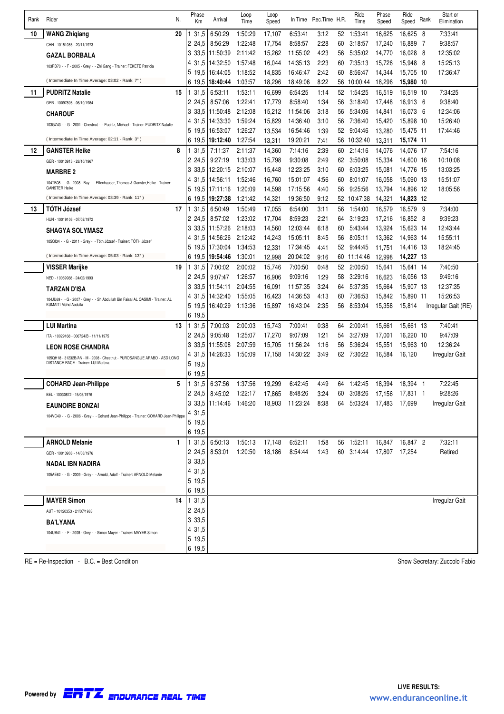| 1:50:29<br>52<br>10<br><b>WANG Zhigiang</b><br>20<br>31,5<br>6:50:29<br>17,107<br>6:53:41<br>3:12<br>1:53:41<br>16,625<br>16,625<br>- 8<br>7:33:41<br>2 24,5<br>1:22:48<br>17,754<br>8:58:57<br>2:28<br>60<br>3:18:57<br>16,889<br>9:38:57<br>8:56:29<br>17.240<br>- 7<br>CHN - 10151055 - 20/11/1973<br>12:35:02<br>3 3 3 5<br>11:50:39<br>2:11:42<br>15,262<br>11:55:02<br>4:23<br>5:35:02<br>14,770<br>16,028<br>56<br>- 8<br><b>GAZAL BORBALA</b><br>2:23<br>15:25:13<br>4 31.5<br>14:32:50<br>1.57:48<br>14:35:13<br>7:35:13<br>15,726<br>15.948 8<br>16,044<br>60<br>103PB70 - - F - 2005 - Grey - - Zhi Gang - Trainer: FEKETE Patricia<br>5 19.5<br>16:44:05<br>1:18:52<br>2:42<br>8:56:47<br>17:36:47<br>14,835<br>16:46:47<br>60<br>14,344<br>15,705 10<br>(Intermediate In Time Average: 03:02 - Rank: 7°)<br>1:03:57<br>6 19.5<br>15,980 10<br>18:40:44<br>18,296<br>18:49:06<br>8:22<br>56<br>10:00:44<br>18,296<br>7:34:25<br>11<br><b>PUDRITZ Natalie</b><br>15<br>31,5<br>6:53:11<br>1:53:11<br>16,699<br>6:54:25<br>1:14<br>1:54:25<br>16,519<br>16,519 10<br>52<br>1:22:41<br>1:34<br>2 24.5<br>8:57:06<br>17,779<br>8:58:40<br>56<br>3:18:40<br>16,913 6<br>9:38:40<br>17,448<br>GER - 10097806 - 06/10/1984<br>3 3 3 .5<br>11:50:48<br>2:12:08<br>15,212<br>3:18<br>56<br>5:34:06<br>14,841<br>12:34:06<br>11:54:06<br>16,073 6<br><b>CHAROUF</b><br>4 31,5<br>14:33:30<br>1.59:24<br>15,829<br>3:10<br>56<br>7:36:40<br>15,898 10<br>15:26:40<br>14:36:40<br>15,420<br>103GZ43 - - G - 2001 - Chestnut - - Pudritz, Michael - Trainer: PUDRITZ Natalie<br>5 19.5<br>16:53:07<br>1:26:27<br>13,534<br>16:54:46<br>1:39<br>52<br>9:04:46<br>13,280<br>15,475 11<br>17:44:46<br>(Intermediate In Time Average: 02:11 - Rank: 3°)<br>6 19.5<br>19:12:40<br>1:27:54<br>13,311<br>19:20:21<br>7:41<br>56<br>10:32:40<br>13,311<br>15,174 11<br>8<br>7:54:16<br>12<br><b>GANSTER Heike</b><br>31,5<br>2:11:37<br>2:39<br>2:14:16<br>7:11:37<br>14,360<br>7:14:16<br>60<br>14,076<br>14,076 17<br>2:49<br>10:10:08<br>2 24.5<br>9:27:19<br>1:33:03<br>15.798<br>9:30:08<br>3:50:08<br>15,334<br>62<br>14.600 16<br>GER - 10013913 - 28/10/1967<br>3 3 3 .5<br>12:20:15<br>2:10:07<br>3:10<br>6:03:25<br>15,081<br>13:03:25<br>15,448<br>12:23:25<br>60<br>14,776 15<br><b>MARBRE 2</b><br>1:52:46<br>4 31.5<br>14:56:11<br>16.760<br>15:01:07<br>4:56<br>8:01:07<br>16,058<br>15,090 13<br>15:51:07<br>60<br>104TB08 - - G - 2008 - Bay - - Effenhauser, Thomas & Ganster, Heike - Trainer:<br><b>GANSTER Heike</b><br>5 19.5<br>17:11:16<br>1:20:09<br>18:05:56<br>14,598<br>17:15:56<br>4:40<br>56<br>9:25:56<br>13,794<br>14,896 12<br>(Intermediate In Time Average: 03:39 - Rank: 11°)<br>6 19.5<br>19:27:38<br>1:21:42<br>14,321<br>9:12<br>14,321<br>14,823 12<br>19:36:50<br>52 10:47:38<br>7:34:00<br>TOTH József<br>17<br>31,5<br>6:50:49<br>1.50:49<br>17,055<br>3:11<br>16,579<br>16,579 9<br>13<br>6:54:00<br>56<br>1:54:00<br>9:39:23<br>2 24.5<br>8:57:02<br>1:23:02<br>17,704<br>8:59:23<br>2:21<br>3:19:23<br>17,216<br>16,852 8<br>64<br>HUN - 10019106 - 07/02/1972<br>3 33.5<br>11:57:26<br>2:18:03<br>14,560<br>6:18<br>5:43:44<br>15,623 14<br>12:43:44<br>12:03:44<br>60<br>13,924<br><b>SHAGYA SOLYMASZ</b><br>2:12:42<br>4 31.5<br>14:56:26<br>14,243<br>15:05:11<br>8:45<br>13,362<br>14,963 14<br>15:55:11<br>56<br>8:05:11<br>105QI34 - - G - 2011 - Grey - - Tóth József - Trainer: TÓTH József<br>1:34:53<br>12,331<br>4:41<br>18:24:45<br>5 19.5<br>17:30:04<br>17:34:45<br>52<br>9:44:45<br>11,751<br>14,416 13<br>(Intermediate In Time Average: 05:03 - Rank: 13°)<br>6 19.5<br>19:54:46<br>1:30:01<br>12,998<br>9:16<br>12,998<br>14,227 13<br>20:04:02<br>60<br>11:14:46<br>7:40:50<br>19<br>31,5<br>2:00:02<br>15,746<br>7:00:50<br>0:48<br>VISSER Marijke<br>7:00:02<br>52<br>2:00:50<br>15,641<br>15,641 14<br>9:49:16<br>2 24.5<br>9:07:47<br>1:26:57<br>16,906<br>9:09:16<br>1:29<br>58<br>3:29:16<br>16,623<br>16,056 13<br>NED - 10069938 - 24/02/1993<br>3:24<br>3 3 3 .5<br>11:54:11<br>2:04:55<br>11:57:35<br>5:37:35<br>12:37:35<br>16,091<br>64<br>15,664<br>15,907 13<br>TARZAN D'ISA<br>4 31.5<br>14:32:40<br>1:55:05<br>16,423<br>14:36:53<br>4:13<br>7:36:53<br>15:26:53<br>60<br>15,842<br>15,890 11<br>104JU69 - - G - 2007 - Grey - - Sh Abdullah Bin Faisal AL QASIMI - Trainer: AL<br>KUMAITI Mohd Abdulla<br>5 19.5<br>1:13:36<br>2:35<br>16:40:29<br>15,897<br>16:43:04<br>56<br>8:53:04<br>15,358<br>15,814<br>Irregular Gait (RE)<br>6 19.5<br><b>LUI Martina</b><br>13<br>31,5<br>7:00:03<br>2:00:03<br>15,743<br>7:00:41<br>0:38<br>64<br>2:00:41<br>15,661<br>15,661 13<br>7:40:41<br>2 24,5<br>9:05:48<br>1:25:07<br>17,270<br>1:21<br>9:47:09<br>9:07:09<br>54<br>3:27:09<br>17,001<br>16,220 10<br>ITA - 10029168 - 006724/B - 11/11/1975<br>12:36:24<br>3 3 3 .5<br>11:55:08<br>2:07:59<br>15,705<br>15,963 10<br>11:56:24<br>56<br>5:36:24<br>15,551<br>1:16<br><b>LEON ROSE CHANDRA</b><br>4 31.5<br>14:26:33<br>1:50:09<br>3:49<br>17,158<br>14:30:22<br>62<br>7:30:22<br>16,584<br>16,120<br>Irregular Gait<br>105QH18 - 31232B/AN - M - 2008 - Chestnut - PUROSANGUE ARABO - ASD LONG<br>DISTANCE RACE - Trainer: LUI Martina<br>5 19.5<br>6 19.5<br>5<br><b>COHARD Jean-Philippe</b><br>31,5<br>6:42:45<br>7:22:45<br>6:37:56<br>1:37:56<br>19,299<br>4:49<br>64 1:42:45<br>18,394<br>18,394 1<br>60 3:08:26 17,156 17,831 1<br>9:28:26<br>1:22:17<br>17,865<br>8:48:26<br>2 24,5 8:45:02<br>3:24<br>BEL - 10030872 - 15/05/1976<br>3 33,5 11:14:46 1:46:20<br>18,903 11:23:24 8:38<br>64 5:03:24 17,483 17,699<br>Irregular Gait<br><b>EAUNOIRE BONZAI</b><br>4 31.5<br>104VC49 - - G - 2006 - Grey - - Cohard Jean-Philippe - Trainer: COHARD Jean-Philippe<br>5 19,5<br>6 19,5<br><b>ARNOLD Melanie</b><br>1<br>1 31,5 6:50:13<br>1:50:13<br>17,148<br>6:52:11<br>56 1:52:11<br>16,847 16,847 2<br>7:32:11<br>1:58<br>2 24,5 8:53:01<br>Retired<br>1:20:50<br>8:54:44<br>60 3:14:44 17.807 17.254<br>18,186<br>1.43<br>GER - 10013908 - 14/08/1976<br>3 3 3.5<br>NADAL IBN NADIRA<br>4 31,5<br>105AE62 - - G - 2009 - Grey - - Arnold, Adolf - Trainer: ARNOLD Melanie<br>5 19,5<br>6 19,5<br><b>MAYER Simon</b><br>131,5<br>14<br>Irregular Gait<br>2 24,5<br>AUT - 10120353 - 21/07/1983<br>3 3 3 5<br><b>BA'LYANA</b><br>4 31,5<br>104UB41 - - F - 2008 - Grey - - Simon Mayer - Trainer: MAYER Simon<br>5 19,5 | Rank | Rider | N. | Phase<br>Кm | Arrival | Loop<br>Time | Loop<br>Speed | In Time | Rec.Time H.R. | Ride<br>Time | Phase<br>Speed | Ride<br>Speed | Rank | Start or<br>Elimination |
|--------------------------------------------------------------------------------------------------------------------------------------------------------------------------------------------------------------------------------------------------------------------------------------------------------------------------------------------------------------------------------------------------------------------------------------------------------------------------------------------------------------------------------------------------------------------------------------------------------------------------------------------------------------------------------------------------------------------------------------------------------------------------------------------------------------------------------------------------------------------------------------------------------------------------------------------------------------------------------------------------------------------------------------------------------------------------------------------------------------------------------------------------------------------------------------------------------------------------------------------------------------------------------------------------------------------------------------------------------------------------------------------------------------------------------------------------------------------------------------------------------------------------------------------------------------------------------------------------------------------------------------------------------------------------------------------------------------------------------------------------------------------------------------------------------------------------------------------------------------------------------------------------------------------------------------------------------------------------------------------------------------------------------------------------------------------------------------------------------------------------------------------------------------------------------------------------------------------------------------------------------------------------------------------------------------------------------------------------------------------------------------------------------------------------------------------------------------------------------------------------------------------------------------------------------------------------------------------------------------------------------------------------------------------------------------------------------------------------------------------------------------------------------------------------------------------------------------------------------------------------------------------------------------------------------------------------------------------------------------------------------------------------------------------------------------------------------------------------------------------------------------------------------------------------------------------------------------------------------------------------------------------------------------------------------------------------------------------------------------------------------------------------------------------------------------------------------------------------------------------------------------------------------------------------------------------------------------------------------------------------------------------------------------------------------------------------------------------------------------------------------------------------------------------------------------------------------------------------------------------------------------------------------------------------------------------------------------------------------------------------------------------------------------------------------------------------------------------------------------------------------------------------------------------------------------------------------------------------------------------------------------------------------------------------------------------------------------------------------------------------------------------------------------------------------------------------------------------------------------------------------------------------------------------------------------------------------------------------------------------------------------------------------------------------------------------------------------------------------------------------------------------------------------------------------------------------------------------------------------------------------------------------------------------------------------------------------------------------------------------------------------------------------------------------------------------------------------------------------------------------------------------------------------------------------------------------------------------------------------------------------------------------------------------------------------------------------------------------------------------------------------------------------------------------------------------------------------------------------------------------------------------------------------------------------------------------------------------------------------------------------------------------------------------------------------------------------------------------------------------------------------------------------------------------------------------------------------------------------------------------------------------------------------------------------------------------------------------------------------------------------------------------------------------------------------------------------------------------------------------------------------------------------------------------------------------------------------------------------------------------------------------------------------------------------------------------------------------------------------------------------------------------------------|------|-------|----|-------------|---------|--------------|---------------|---------|---------------|--------------|----------------|---------------|------|-------------------------|
|                                                                                                                                                                                                                                                                                                                                                                                                                                                                                                                                                                                                                                                                                                                                                                                                                                                                                                                                                                                                                                                                                                                                                                                                                                                                                                                                                                                                                                                                                                                                                                                                                                                                                                                                                                                                                                                                                                                                                                                                                                                                                                                                                                                                                                                                                                                                                                                                                                                                                                                                                                                                                                                                                                                                                                                                                                                                                                                                                                                                                                                                                                                                                                                                                                                                                                                                                                                                                                                                                                                                                                                                                                                                                                                                                                                                                                                                                                                                                                                                                                                                                                                                                                                                                                                                                                                                                                                                                                                                                                                                                                                                                                                                                                                                                                                                                                                                                                                                                                                                                                                                                                                                                                                                                                                                                                                                                                                                                                                                                                                                                                                                                                                                                                                                                                                                                                                                                                                                                                                                                                                                                                                                                                                                                                                                                                                                                                                                              |      |       |    |             |         |              |               |         |               |              |                |               |      |                         |
|                                                                                                                                                                                                                                                                                                                                                                                                                                                                                                                                                                                                                                                                                                                                                                                                                                                                                                                                                                                                                                                                                                                                                                                                                                                                                                                                                                                                                                                                                                                                                                                                                                                                                                                                                                                                                                                                                                                                                                                                                                                                                                                                                                                                                                                                                                                                                                                                                                                                                                                                                                                                                                                                                                                                                                                                                                                                                                                                                                                                                                                                                                                                                                                                                                                                                                                                                                                                                                                                                                                                                                                                                                                                                                                                                                                                                                                                                                                                                                                                                                                                                                                                                                                                                                                                                                                                                                                                                                                                                                                                                                                                                                                                                                                                                                                                                                                                                                                                                                                                                                                                                                                                                                                                                                                                                                                                                                                                                                                                                                                                                                                                                                                                                                                                                                                                                                                                                                                                                                                                                                                                                                                                                                                                                                                                                                                                                                                                              |      |       |    |             |         |              |               |         |               |              |                |               |      |                         |
|                                                                                                                                                                                                                                                                                                                                                                                                                                                                                                                                                                                                                                                                                                                                                                                                                                                                                                                                                                                                                                                                                                                                                                                                                                                                                                                                                                                                                                                                                                                                                                                                                                                                                                                                                                                                                                                                                                                                                                                                                                                                                                                                                                                                                                                                                                                                                                                                                                                                                                                                                                                                                                                                                                                                                                                                                                                                                                                                                                                                                                                                                                                                                                                                                                                                                                                                                                                                                                                                                                                                                                                                                                                                                                                                                                                                                                                                                                                                                                                                                                                                                                                                                                                                                                                                                                                                                                                                                                                                                                                                                                                                                                                                                                                                                                                                                                                                                                                                                                                                                                                                                                                                                                                                                                                                                                                                                                                                                                                                                                                                                                                                                                                                                                                                                                                                                                                                                                                                                                                                                                                                                                                                                                                                                                                                                                                                                                                                              |      |       |    |             |         |              |               |         |               |              |                |               |      |                         |
|                                                                                                                                                                                                                                                                                                                                                                                                                                                                                                                                                                                                                                                                                                                                                                                                                                                                                                                                                                                                                                                                                                                                                                                                                                                                                                                                                                                                                                                                                                                                                                                                                                                                                                                                                                                                                                                                                                                                                                                                                                                                                                                                                                                                                                                                                                                                                                                                                                                                                                                                                                                                                                                                                                                                                                                                                                                                                                                                                                                                                                                                                                                                                                                                                                                                                                                                                                                                                                                                                                                                                                                                                                                                                                                                                                                                                                                                                                                                                                                                                                                                                                                                                                                                                                                                                                                                                                                                                                                                                                                                                                                                                                                                                                                                                                                                                                                                                                                                                                                                                                                                                                                                                                                                                                                                                                                                                                                                                                                                                                                                                                                                                                                                                                                                                                                                                                                                                                                                                                                                                                                                                                                                                                                                                                                                                                                                                                                                              |      |       |    |             |         |              |               |         |               |              |                |               |      |                         |
|                                                                                                                                                                                                                                                                                                                                                                                                                                                                                                                                                                                                                                                                                                                                                                                                                                                                                                                                                                                                                                                                                                                                                                                                                                                                                                                                                                                                                                                                                                                                                                                                                                                                                                                                                                                                                                                                                                                                                                                                                                                                                                                                                                                                                                                                                                                                                                                                                                                                                                                                                                                                                                                                                                                                                                                                                                                                                                                                                                                                                                                                                                                                                                                                                                                                                                                                                                                                                                                                                                                                                                                                                                                                                                                                                                                                                                                                                                                                                                                                                                                                                                                                                                                                                                                                                                                                                                                                                                                                                                                                                                                                                                                                                                                                                                                                                                                                                                                                                                                                                                                                                                                                                                                                                                                                                                                                                                                                                                                                                                                                                                                                                                                                                                                                                                                                                                                                                                                                                                                                                                                                                                                                                                                                                                                                                                                                                                                                              |      |       |    |             |         |              |               |         |               |              |                |               |      |                         |
|                                                                                                                                                                                                                                                                                                                                                                                                                                                                                                                                                                                                                                                                                                                                                                                                                                                                                                                                                                                                                                                                                                                                                                                                                                                                                                                                                                                                                                                                                                                                                                                                                                                                                                                                                                                                                                                                                                                                                                                                                                                                                                                                                                                                                                                                                                                                                                                                                                                                                                                                                                                                                                                                                                                                                                                                                                                                                                                                                                                                                                                                                                                                                                                                                                                                                                                                                                                                                                                                                                                                                                                                                                                                                                                                                                                                                                                                                                                                                                                                                                                                                                                                                                                                                                                                                                                                                                                                                                                                                                                                                                                                                                                                                                                                                                                                                                                                                                                                                                                                                                                                                                                                                                                                                                                                                                                                                                                                                                                                                                                                                                                                                                                                                                                                                                                                                                                                                                                                                                                                                                                                                                                                                                                                                                                                                                                                                                                                              |      |       |    |             |         |              |               |         |               |              |                |               |      |                         |
|                                                                                                                                                                                                                                                                                                                                                                                                                                                                                                                                                                                                                                                                                                                                                                                                                                                                                                                                                                                                                                                                                                                                                                                                                                                                                                                                                                                                                                                                                                                                                                                                                                                                                                                                                                                                                                                                                                                                                                                                                                                                                                                                                                                                                                                                                                                                                                                                                                                                                                                                                                                                                                                                                                                                                                                                                                                                                                                                                                                                                                                                                                                                                                                                                                                                                                                                                                                                                                                                                                                                                                                                                                                                                                                                                                                                                                                                                                                                                                                                                                                                                                                                                                                                                                                                                                                                                                                                                                                                                                                                                                                                                                                                                                                                                                                                                                                                                                                                                                                                                                                                                                                                                                                                                                                                                                                                                                                                                                                                                                                                                                                                                                                                                                                                                                                                                                                                                                                                                                                                                                                                                                                                                                                                                                                                                                                                                                                                              |      |       |    |             |         |              |               |         |               |              |                |               |      |                         |
|                                                                                                                                                                                                                                                                                                                                                                                                                                                                                                                                                                                                                                                                                                                                                                                                                                                                                                                                                                                                                                                                                                                                                                                                                                                                                                                                                                                                                                                                                                                                                                                                                                                                                                                                                                                                                                                                                                                                                                                                                                                                                                                                                                                                                                                                                                                                                                                                                                                                                                                                                                                                                                                                                                                                                                                                                                                                                                                                                                                                                                                                                                                                                                                                                                                                                                                                                                                                                                                                                                                                                                                                                                                                                                                                                                                                                                                                                                                                                                                                                                                                                                                                                                                                                                                                                                                                                                                                                                                                                                                                                                                                                                                                                                                                                                                                                                                                                                                                                                                                                                                                                                                                                                                                                                                                                                                                                                                                                                                                                                                                                                                                                                                                                                                                                                                                                                                                                                                                                                                                                                                                                                                                                                                                                                                                                                                                                                                                              |      |       |    |             |         |              |               |         |               |              |                |               |      |                         |
|                                                                                                                                                                                                                                                                                                                                                                                                                                                                                                                                                                                                                                                                                                                                                                                                                                                                                                                                                                                                                                                                                                                                                                                                                                                                                                                                                                                                                                                                                                                                                                                                                                                                                                                                                                                                                                                                                                                                                                                                                                                                                                                                                                                                                                                                                                                                                                                                                                                                                                                                                                                                                                                                                                                                                                                                                                                                                                                                                                                                                                                                                                                                                                                                                                                                                                                                                                                                                                                                                                                                                                                                                                                                                                                                                                                                                                                                                                                                                                                                                                                                                                                                                                                                                                                                                                                                                                                                                                                                                                                                                                                                                                                                                                                                                                                                                                                                                                                                                                                                                                                                                                                                                                                                                                                                                                                                                                                                                                                                                                                                                                                                                                                                                                                                                                                                                                                                                                                                                                                                                                                                                                                                                                                                                                                                                                                                                                                                              |      |       |    |             |         |              |               |         |               |              |                |               |      |                         |
|                                                                                                                                                                                                                                                                                                                                                                                                                                                                                                                                                                                                                                                                                                                                                                                                                                                                                                                                                                                                                                                                                                                                                                                                                                                                                                                                                                                                                                                                                                                                                                                                                                                                                                                                                                                                                                                                                                                                                                                                                                                                                                                                                                                                                                                                                                                                                                                                                                                                                                                                                                                                                                                                                                                                                                                                                                                                                                                                                                                                                                                                                                                                                                                                                                                                                                                                                                                                                                                                                                                                                                                                                                                                                                                                                                                                                                                                                                                                                                                                                                                                                                                                                                                                                                                                                                                                                                                                                                                                                                                                                                                                                                                                                                                                                                                                                                                                                                                                                                                                                                                                                                                                                                                                                                                                                                                                                                                                                                                                                                                                                                                                                                                                                                                                                                                                                                                                                                                                                                                                                                                                                                                                                                                                                                                                                                                                                                                                              |      |       |    |             |         |              |               |         |               |              |                |               |      |                         |
|                                                                                                                                                                                                                                                                                                                                                                                                                                                                                                                                                                                                                                                                                                                                                                                                                                                                                                                                                                                                                                                                                                                                                                                                                                                                                                                                                                                                                                                                                                                                                                                                                                                                                                                                                                                                                                                                                                                                                                                                                                                                                                                                                                                                                                                                                                                                                                                                                                                                                                                                                                                                                                                                                                                                                                                                                                                                                                                                                                                                                                                                                                                                                                                                                                                                                                                                                                                                                                                                                                                                                                                                                                                                                                                                                                                                                                                                                                                                                                                                                                                                                                                                                                                                                                                                                                                                                                                                                                                                                                                                                                                                                                                                                                                                                                                                                                                                                                                                                                                                                                                                                                                                                                                                                                                                                                                                                                                                                                                                                                                                                                                                                                                                                                                                                                                                                                                                                                                                                                                                                                                                                                                                                                                                                                                                                                                                                                                                              |      |       |    |             |         |              |               |         |               |              |                |               |      |                         |
|                                                                                                                                                                                                                                                                                                                                                                                                                                                                                                                                                                                                                                                                                                                                                                                                                                                                                                                                                                                                                                                                                                                                                                                                                                                                                                                                                                                                                                                                                                                                                                                                                                                                                                                                                                                                                                                                                                                                                                                                                                                                                                                                                                                                                                                                                                                                                                                                                                                                                                                                                                                                                                                                                                                                                                                                                                                                                                                                                                                                                                                                                                                                                                                                                                                                                                                                                                                                                                                                                                                                                                                                                                                                                                                                                                                                                                                                                                                                                                                                                                                                                                                                                                                                                                                                                                                                                                                                                                                                                                                                                                                                                                                                                                                                                                                                                                                                                                                                                                                                                                                                                                                                                                                                                                                                                                                                                                                                                                                                                                                                                                                                                                                                                                                                                                                                                                                                                                                                                                                                                                                                                                                                                                                                                                                                                                                                                                                                              |      |       |    |             |         |              |               |         |               |              |                |               |      |                         |
|                                                                                                                                                                                                                                                                                                                                                                                                                                                                                                                                                                                                                                                                                                                                                                                                                                                                                                                                                                                                                                                                                                                                                                                                                                                                                                                                                                                                                                                                                                                                                                                                                                                                                                                                                                                                                                                                                                                                                                                                                                                                                                                                                                                                                                                                                                                                                                                                                                                                                                                                                                                                                                                                                                                                                                                                                                                                                                                                                                                                                                                                                                                                                                                                                                                                                                                                                                                                                                                                                                                                                                                                                                                                                                                                                                                                                                                                                                                                                                                                                                                                                                                                                                                                                                                                                                                                                                                                                                                                                                                                                                                                                                                                                                                                                                                                                                                                                                                                                                                                                                                                                                                                                                                                                                                                                                                                                                                                                                                                                                                                                                                                                                                                                                                                                                                                                                                                                                                                                                                                                                                                                                                                                                                                                                                                                                                                                                                                              |      |       |    |             |         |              |               |         |               |              |                |               |      |                         |
|                                                                                                                                                                                                                                                                                                                                                                                                                                                                                                                                                                                                                                                                                                                                                                                                                                                                                                                                                                                                                                                                                                                                                                                                                                                                                                                                                                                                                                                                                                                                                                                                                                                                                                                                                                                                                                                                                                                                                                                                                                                                                                                                                                                                                                                                                                                                                                                                                                                                                                                                                                                                                                                                                                                                                                                                                                                                                                                                                                                                                                                                                                                                                                                                                                                                                                                                                                                                                                                                                                                                                                                                                                                                                                                                                                                                                                                                                                                                                                                                                                                                                                                                                                                                                                                                                                                                                                                                                                                                                                                                                                                                                                                                                                                                                                                                                                                                                                                                                                                                                                                                                                                                                                                                                                                                                                                                                                                                                                                                                                                                                                                                                                                                                                                                                                                                                                                                                                                                                                                                                                                                                                                                                                                                                                                                                                                                                                                                              |      |       |    |             |         |              |               |         |               |              |                |               |      |                         |
|                                                                                                                                                                                                                                                                                                                                                                                                                                                                                                                                                                                                                                                                                                                                                                                                                                                                                                                                                                                                                                                                                                                                                                                                                                                                                                                                                                                                                                                                                                                                                                                                                                                                                                                                                                                                                                                                                                                                                                                                                                                                                                                                                                                                                                                                                                                                                                                                                                                                                                                                                                                                                                                                                                                                                                                                                                                                                                                                                                                                                                                                                                                                                                                                                                                                                                                                                                                                                                                                                                                                                                                                                                                                                                                                                                                                                                                                                                                                                                                                                                                                                                                                                                                                                                                                                                                                                                                                                                                                                                                                                                                                                                                                                                                                                                                                                                                                                                                                                                                                                                                                                                                                                                                                                                                                                                                                                                                                                                                                                                                                                                                                                                                                                                                                                                                                                                                                                                                                                                                                                                                                                                                                                                                                                                                                                                                                                                                                              |      |       |    |             |         |              |               |         |               |              |                |               |      |                         |
|                                                                                                                                                                                                                                                                                                                                                                                                                                                                                                                                                                                                                                                                                                                                                                                                                                                                                                                                                                                                                                                                                                                                                                                                                                                                                                                                                                                                                                                                                                                                                                                                                                                                                                                                                                                                                                                                                                                                                                                                                                                                                                                                                                                                                                                                                                                                                                                                                                                                                                                                                                                                                                                                                                                                                                                                                                                                                                                                                                                                                                                                                                                                                                                                                                                                                                                                                                                                                                                                                                                                                                                                                                                                                                                                                                                                                                                                                                                                                                                                                                                                                                                                                                                                                                                                                                                                                                                                                                                                                                                                                                                                                                                                                                                                                                                                                                                                                                                                                                                                                                                                                                                                                                                                                                                                                                                                                                                                                                                                                                                                                                                                                                                                                                                                                                                                                                                                                                                                                                                                                                                                                                                                                                                                                                                                                                                                                                                                              |      |       |    |             |         |              |               |         |               |              |                |               |      |                         |
|                                                                                                                                                                                                                                                                                                                                                                                                                                                                                                                                                                                                                                                                                                                                                                                                                                                                                                                                                                                                                                                                                                                                                                                                                                                                                                                                                                                                                                                                                                                                                                                                                                                                                                                                                                                                                                                                                                                                                                                                                                                                                                                                                                                                                                                                                                                                                                                                                                                                                                                                                                                                                                                                                                                                                                                                                                                                                                                                                                                                                                                                                                                                                                                                                                                                                                                                                                                                                                                                                                                                                                                                                                                                                                                                                                                                                                                                                                                                                                                                                                                                                                                                                                                                                                                                                                                                                                                                                                                                                                                                                                                                                                                                                                                                                                                                                                                                                                                                                                                                                                                                                                                                                                                                                                                                                                                                                                                                                                                                                                                                                                                                                                                                                                                                                                                                                                                                                                                                                                                                                                                                                                                                                                                                                                                                                                                                                                                                              |      |       |    |             |         |              |               |         |               |              |                |               |      |                         |
|                                                                                                                                                                                                                                                                                                                                                                                                                                                                                                                                                                                                                                                                                                                                                                                                                                                                                                                                                                                                                                                                                                                                                                                                                                                                                                                                                                                                                                                                                                                                                                                                                                                                                                                                                                                                                                                                                                                                                                                                                                                                                                                                                                                                                                                                                                                                                                                                                                                                                                                                                                                                                                                                                                                                                                                                                                                                                                                                                                                                                                                                                                                                                                                                                                                                                                                                                                                                                                                                                                                                                                                                                                                                                                                                                                                                                                                                                                                                                                                                                                                                                                                                                                                                                                                                                                                                                                                                                                                                                                                                                                                                                                                                                                                                                                                                                                                                                                                                                                                                                                                                                                                                                                                                                                                                                                                                                                                                                                                                                                                                                                                                                                                                                                                                                                                                                                                                                                                                                                                                                                                                                                                                                                                                                                                                                                                                                                                                              |      |       |    |             |         |              |               |         |               |              |                |               |      |                         |
|                                                                                                                                                                                                                                                                                                                                                                                                                                                                                                                                                                                                                                                                                                                                                                                                                                                                                                                                                                                                                                                                                                                                                                                                                                                                                                                                                                                                                                                                                                                                                                                                                                                                                                                                                                                                                                                                                                                                                                                                                                                                                                                                                                                                                                                                                                                                                                                                                                                                                                                                                                                                                                                                                                                                                                                                                                                                                                                                                                                                                                                                                                                                                                                                                                                                                                                                                                                                                                                                                                                                                                                                                                                                                                                                                                                                                                                                                                                                                                                                                                                                                                                                                                                                                                                                                                                                                                                                                                                                                                                                                                                                                                                                                                                                                                                                                                                                                                                                                                                                                                                                                                                                                                                                                                                                                                                                                                                                                                                                                                                                                                                                                                                                                                                                                                                                                                                                                                                                                                                                                                                                                                                                                                                                                                                                                                                                                                                                              |      |       |    |             |         |              |               |         |               |              |                |               |      |                         |
|                                                                                                                                                                                                                                                                                                                                                                                                                                                                                                                                                                                                                                                                                                                                                                                                                                                                                                                                                                                                                                                                                                                                                                                                                                                                                                                                                                                                                                                                                                                                                                                                                                                                                                                                                                                                                                                                                                                                                                                                                                                                                                                                                                                                                                                                                                                                                                                                                                                                                                                                                                                                                                                                                                                                                                                                                                                                                                                                                                                                                                                                                                                                                                                                                                                                                                                                                                                                                                                                                                                                                                                                                                                                                                                                                                                                                                                                                                                                                                                                                                                                                                                                                                                                                                                                                                                                                                                                                                                                                                                                                                                                                                                                                                                                                                                                                                                                                                                                                                                                                                                                                                                                                                                                                                                                                                                                                                                                                                                                                                                                                                                                                                                                                                                                                                                                                                                                                                                                                                                                                                                                                                                                                                                                                                                                                                                                                                                                              |      |       |    |             |         |              |               |         |               |              |                |               |      |                         |
|                                                                                                                                                                                                                                                                                                                                                                                                                                                                                                                                                                                                                                                                                                                                                                                                                                                                                                                                                                                                                                                                                                                                                                                                                                                                                                                                                                                                                                                                                                                                                                                                                                                                                                                                                                                                                                                                                                                                                                                                                                                                                                                                                                                                                                                                                                                                                                                                                                                                                                                                                                                                                                                                                                                                                                                                                                                                                                                                                                                                                                                                                                                                                                                                                                                                                                                                                                                                                                                                                                                                                                                                                                                                                                                                                                                                                                                                                                                                                                                                                                                                                                                                                                                                                                                                                                                                                                                                                                                                                                                                                                                                                                                                                                                                                                                                                                                                                                                                                                                                                                                                                                                                                                                                                                                                                                                                                                                                                                                                                                                                                                                                                                                                                                                                                                                                                                                                                                                                                                                                                                                                                                                                                                                                                                                                                                                                                                                                              |      |       |    |             |         |              |               |         |               |              |                |               |      |                         |
|                                                                                                                                                                                                                                                                                                                                                                                                                                                                                                                                                                                                                                                                                                                                                                                                                                                                                                                                                                                                                                                                                                                                                                                                                                                                                                                                                                                                                                                                                                                                                                                                                                                                                                                                                                                                                                                                                                                                                                                                                                                                                                                                                                                                                                                                                                                                                                                                                                                                                                                                                                                                                                                                                                                                                                                                                                                                                                                                                                                                                                                                                                                                                                                                                                                                                                                                                                                                                                                                                                                                                                                                                                                                                                                                                                                                                                                                                                                                                                                                                                                                                                                                                                                                                                                                                                                                                                                                                                                                                                                                                                                                                                                                                                                                                                                                                                                                                                                                                                                                                                                                                                                                                                                                                                                                                                                                                                                                                                                                                                                                                                                                                                                                                                                                                                                                                                                                                                                                                                                                                                                                                                                                                                                                                                                                                                                                                                                                              |      |       |    |             |         |              |               |         |               |              |                |               |      |                         |
|                                                                                                                                                                                                                                                                                                                                                                                                                                                                                                                                                                                                                                                                                                                                                                                                                                                                                                                                                                                                                                                                                                                                                                                                                                                                                                                                                                                                                                                                                                                                                                                                                                                                                                                                                                                                                                                                                                                                                                                                                                                                                                                                                                                                                                                                                                                                                                                                                                                                                                                                                                                                                                                                                                                                                                                                                                                                                                                                                                                                                                                                                                                                                                                                                                                                                                                                                                                                                                                                                                                                                                                                                                                                                                                                                                                                                                                                                                                                                                                                                                                                                                                                                                                                                                                                                                                                                                                                                                                                                                                                                                                                                                                                                                                                                                                                                                                                                                                                                                                                                                                                                                                                                                                                                                                                                                                                                                                                                                                                                                                                                                                                                                                                                                                                                                                                                                                                                                                                                                                                                                                                                                                                                                                                                                                                                                                                                                                                              |      |       |    |             |         |              |               |         |               |              |                |               |      |                         |
|                                                                                                                                                                                                                                                                                                                                                                                                                                                                                                                                                                                                                                                                                                                                                                                                                                                                                                                                                                                                                                                                                                                                                                                                                                                                                                                                                                                                                                                                                                                                                                                                                                                                                                                                                                                                                                                                                                                                                                                                                                                                                                                                                                                                                                                                                                                                                                                                                                                                                                                                                                                                                                                                                                                                                                                                                                                                                                                                                                                                                                                                                                                                                                                                                                                                                                                                                                                                                                                                                                                                                                                                                                                                                                                                                                                                                                                                                                                                                                                                                                                                                                                                                                                                                                                                                                                                                                                                                                                                                                                                                                                                                                                                                                                                                                                                                                                                                                                                                                                                                                                                                                                                                                                                                                                                                                                                                                                                                                                                                                                                                                                                                                                                                                                                                                                                                                                                                                                                                                                                                                                                                                                                                                                                                                                                                                                                                                                                              |      |       |    |             |         |              |               |         |               |              |                |               |      |                         |
|                                                                                                                                                                                                                                                                                                                                                                                                                                                                                                                                                                                                                                                                                                                                                                                                                                                                                                                                                                                                                                                                                                                                                                                                                                                                                                                                                                                                                                                                                                                                                                                                                                                                                                                                                                                                                                                                                                                                                                                                                                                                                                                                                                                                                                                                                                                                                                                                                                                                                                                                                                                                                                                                                                                                                                                                                                                                                                                                                                                                                                                                                                                                                                                                                                                                                                                                                                                                                                                                                                                                                                                                                                                                                                                                                                                                                                                                                                                                                                                                                                                                                                                                                                                                                                                                                                                                                                                                                                                                                                                                                                                                                                                                                                                                                                                                                                                                                                                                                                                                                                                                                                                                                                                                                                                                                                                                                                                                                                                                                                                                                                                                                                                                                                                                                                                                                                                                                                                                                                                                                                                                                                                                                                                                                                                                                                                                                                                                              |      |       |    |             |         |              |               |         |               |              |                |               |      |                         |
|                                                                                                                                                                                                                                                                                                                                                                                                                                                                                                                                                                                                                                                                                                                                                                                                                                                                                                                                                                                                                                                                                                                                                                                                                                                                                                                                                                                                                                                                                                                                                                                                                                                                                                                                                                                                                                                                                                                                                                                                                                                                                                                                                                                                                                                                                                                                                                                                                                                                                                                                                                                                                                                                                                                                                                                                                                                                                                                                                                                                                                                                                                                                                                                                                                                                                                                                                                                                                                                                                                                                                                                                                                                                                                                                                                                                                                                                                                                                                                                                                                                                                                                                                                                                                                                                                                                                                                                                                                                                                                                                                                                                                                                                                                                                                                                                                                                                                                                                                                                                                                                                                                                                                                                                                                                                                                                                                                                                                                                                                                                                                                                                                                                                                                                                                                                                                                                                                                                                                                                                                                                                                                                                                                                                                                                                                                                                                                                                              |      |       |    |             |         |              |               |         |               |              |                |               |      |                         |
|                                                                                                                                                                                                                                                                                                                                                                                                                                                                                                                                                                                                                                                                                                                                                                                                                                                                                                                                                                                                                                                                                                                                                                                                                                                                                                                                                                                                                                                                                                                                                                                                                                                                                                                                                                                                                                                                                                                                                                                                                                                                                                                                                                                                                                                                                                                                                                                                                                                                                                                                                                                                                                                                                                                                                                                                                                                                                                                                                                                                                                                                                                                                                                                                                                                                                                                                                                                                                                                                                                                                                                                                                                                                                                                                                                                                                                                                                                                                                                                                                                                                                                                                                                                                                                                                                                                                                                                                                                                                                                                                                                                                                                                                                                                                                                                                                                                                                                                                                                                                                                                                                                                                                                                                                                                                                                                                                                                                                                                                                                                                                                                                                                                                                                                                                                                                                                                                                                                                                                                                                                                                                                                                                                                                                                                                                                                                                                                                              |      |       |    |             |         |              |               |         |               |              |                |               |      |                         |
|                                                                                                                                                                                                                                                                                                                                                                                                                                                                                                                                                                                                                                                                                                                                                                                                                                                                                                                                                                                                                                                                                                                                                                                                                                                                                                                                                                                                                                                                                                                                                                                                                                                                                                                                                                                                                                                                                                                                                                                                                                                                                                                                                                                                                                                                                                                                                                                                                                                                                                                                                                                                                                                                                                                                                                                                                                                                                                                                                                                                                                                                                                                                                                                                                                                                                                                                                                                                                                                                                                                                                                                                                                                                                                                                                                                                                                                                                                                                                                                                                                                                                                                                                                                                                                                                                                                                                                                                                                                                                                                                                                                                                                                                                                                                                                                                                                                                                                                                                                                                                                                                                                                                                                                                                                                                                                                                                                                                                                                                                                                                                                                                                                                                                                                                                                                                                                                                                                                                                                                                                                                                                                                                                                                                                                                                                                                                                                                                              |      |       |    |             |         |              |               |         |               |              |                |               |      |                         |
|                                                                                                                                                                                                                                                                                                                                                                                                                                                                                                                                                                                                                                                                                                                                                                                                                                                                                                                                                                                                                                                                                                                                                                                                                                                                                                                                                                                                                                                                                                                                                                                                                                                                                                                                                                                                                                                                                                                                                                                                                                                                                                                                                                                                                                                                                                                                                                                                                                                                                                                                                                                                                                                                                                                                                                                                                                                                                                                                                                                                                                                                                                                                                                                                                                                                                                                                                                                                                                                                                                                                                                                                                                                                                                                                                                                                                                                                                                                                                                                                                                                                                                                                                                                                                                                                                                                                                                                                                                                                                                                                                                                                                                                                                                                                                                                                                                                                                                                                                                                                                                                                                                                                                                                                                                                                                                                                                                                                                                                                                                                                                                                                                                                                                                                                                                                                                                                                                                                                                                                                                                                                                                                                                                                                                                                                                                                                                                                                              |      |       |    |             |         |              |               |         |               |              |                |               |      |                         |
|                                                                                                                                                                                                                                                                                                                                                                                                                                                                                                                                                                                                                                                                                                                                                                                                                                                                                                                                                                                                                                                                                                                                                                                                                                                                                                                                                                                                                                                                                                                                                                                                                                                                                                                                                                                                                                                                                                                                                                                                                                                                                                                                                                                                                                                                                                                                                                                                                                                                                                                                                                                                                                                                                                                                                                                                                                                                                                                                                                                                                                                                                                                                                                                                                                                                                                                                                                                                                                                                                                                                                                                                                                                                                                                                                                                                                                                                                                                                                                                                                                                                                                                                                                                                                                                                                                                                                                                                                                                                                                                                                                                                                                                                                                                                                                                                                                                                                                                                                                                                                                                                                                                                                                                                                                                                                                                                                                                                                                                                                                                                                                                                                                                                                                                                                                                                                                                                                                                                                                                                                                                                                                                                                                                                                                                                                                                                                                                                              |      |       |    |             |         |              |               |         |               |              |                |               |      |                         |
|                                                                                                                                                                                                                                                                                                                                                                                                                                                                                                                                                                                                                                                                                                                                                                                                                                                                                                                                                                                                                                                                                                                                                                                                                                                                                                                                                                                                                                                                                                                                                                                                                                                                                                                                                                                                                                                                                                                                                                                                                                                                                                                                                                                                                                                                                                                                                                                                                                                                                                                                                                                                                                                                                                                                                                                                                                                                                                                                                                                                                                                                                                                                                                                                                                                                                                                                                                                                                                                                                                                                                                                                                                                                                                                                                                                                                                                                                                                                                                                                                                                                                                                                                                                                                                                                                                                                                                                                                                                                                                                                                                                                                                                                                                                                                                                                                                                                                                                                                                                                                                                                                                                                                                                                                                                                                                                                                                                                                                                                                                                                                                                                                                                                                                                                                                                                                                                                                                                                                                                                                                                                                                                                                                                                                                                                                                                                                                                                              |      |       |    |             |         |              |               |         |               |              |                |               |      |                         |
|                                                                                                                                                                                                                                                                                                                                                                                                                                                                                                                                                                                                                                                                                                                                                                                                                                                                                                                                                                                                                                                                                                                                                                                                                                                                                                                                                                                                                                                                                                                                                                                                                                                                                                                                                                                                                                                                                                                                                                                                                                                                                                                                                                                                                                                                                                                                                                                                                                                                                                                                                                                                                                                                                                                                                                                                                                                                                                                                                                                                                                                                                                                                                                                                                                                                                                                                                                                                                                                                                                                                                                                                                                                                                                                                                                                                                                                                                                                                                                                                                                                                                                                                                                                                                                                                                                                                                                                                                                                                                                                                                                                                                                                                                                                                                                                                                                                                                                                                                                                                                                                                                                                                                                                                                                                                                                                                                                                                                                                                                                                                                                                                                                                                                                                                                                                                                                                                                                                                                                                                                                                                                                                                                                                                                                                                                                                                                                                                              |      |       |    |             |         |              |               |         |               |              |                |               |      |                         |
|                                                                                                                                                                                                                                                                                                                                                                                                                                                                                                                                                                                                                                                                                                                                                                                                                                                                                                                                                                                                                                                                                                                                                                                                                                                                                                                                                                                                                                                                                                                                                                                                                                                                                                                                                                                                                                                                                                                                                                                                                                                                                                                                                                                                                                                                                                                                                                                                                                                                                                                                                                                                                                                                                                                                                                                                                                                                                                                                                                                                                                                                                                                                                                                                                                                                                                                                                                                                                                                                                                                                                                                                                                                                                                                                                                                                                                                                                                                                                                                                                                                                                                                                                                                                                                                                                                                                                                                                                                                                                                                                                                                                                                                                                                                                                                                                                                                                                                                                                                                                                                                                                                                                                                                                                                                                                                                                                                                                                                                                                                                                                                                                                                                                                                                                                                                                                                                                                                                                                                                                                                                                                                                                                                                                                                                                                                                                                                                                              |      |       |    |             |         |              |               |         |               |              |                |               |      |                         |
|                                                                                                                                                                                                                                                                                                                                                                                                                                                                                                                                                                                                                                                                                                                                                                                                                                                                                                                                                                                                                                                                                                                                                                                                                                                                                                                                                                                                                                                                                                                                                                                                                                                                                                                                                                                                                                                                                                                                                                                                                                                                                                                                                                                                                                                                                                                                                                                                                                                                                                                                                                                                                                                                                                                                                                                                                                                                                                                                                                                                                                                                                                                                                                                                                                                                                                                                                                                                                                                                                                                                                                                                                                                                                                                                                                                                                                                                                                                                                                                                                                                                                                                                                                                                                                                                                                                                                                                                                                                                                                                                                                                                                                                                                                                                                                                                                                                                                                                                                                                                                                                                                                                                                                                                                                                                                                                                                                                                                                                                                                                                                                                                                                                                                                                                                                                                                                                                                                                                                                                                                                                                                                                                                                                                                                                                                                                                                                                                              |      |       |    |             |         |              |               |         |               |              |                |               |      |                         |
|                                                                                                                                                                                                                                                                                                                                                                                                                                                                                                                                                                                                                                                                                                                                                                                                                                                                                                                                                                                                                                                                                                                                                                                                                                                                                                                                                                                                                                                                                                                                                                                                                                                                                                                                                                                                                                                                                                                                                                                                                                                                                                                                                                                                                                                                                                                                                                                                                                                                                                                                                                                                                                                                                                                                                                                                                                                                                                                                                                                                                                                                                                                                                                                                                                                                                                                                                                                                                                                                                                                                                                                                                                                                                                                                                                                                                                                                                                                                                                                                                                                                                                                                                                                                                                                                                                                                                                                                                                                                                                                                                                                                                                                                                                                                                                                                                                                                                                                                                                                                                                                                                                                                                                                                                                                                                                                                                                                                                                                                                                                                                                                                                                                                                                                                                                                                                                                                                                                                                                                                                                                                                                                                                                                                                                                                                                                                                                                                              |      |       |    |             |         |              |               |         |               |              |                |               |      |                         |
|                                                                                                                                                                                                                                                                                                                                                                                                                                                                                                                                                                                                                                                                                                                                                                                                                                                                                                                                                                                                                                                                                                                                                                                                                                                                                                                                                                                                                                                                                                                                                                                                                                                                                                                                                                                                                                                                                                                                                                                                                                                                                                                                                                                                                                                                                                                                                                                                                                                                                                                                                                                                                                                                                                                                                                                                                                                                                                                                                                                                                                                                                                                                                                                                                                                                                                                                                                                                                                                                                                                                                                                                                                                                                                                                                                                                                                                                                                                                                                                                                                                                                                                                                                                                                                                                                                                                                                                                                                                                                                                                                                                                                                                                                                                                                                                                                                                                                                                                                                                                                                                                                                                                                                                                                                                                                                                                                                                                                                                                                                                                                                                                                                                                                                                                                                                                                                                                                                                                                                                                                                                                                                                                                                                                                                                                                                                                                                                                              |      |       |    |             |         |              |               |         |               |              |                |               |      |                         |
|                                                                                                                                                                                                                                                                                                                                                                                                                                                                                                                                                                                                                                                                                                                                                                                                                                                                                                                                                                                                                                                                                                                                                                                                                                                                                                                                                                                                                                                                                                                                                                                                                                                                                                                                                                                                                                                                                                                                                                                                                                                                                                                                                                                                                                                                                                                                                                                                                                                                                                                                                                                                                                                                                                                                                                                                                                                                                                                                                                                                                                                                                                                                                                                                                                                                                                                                                                                                                                                                                                                                                                                                                                                                                                                                                                                                                                                                                                                                                                                                                                                                                                                                                                                                                                                                                                                                                                                                                                                                                                                                                                                                                                                                                                                                                                                                                                                                                                                                                                                                                                                                                                                                                                                                                                                                                                                                                                                                                                                                                                                                                                                                                                                                                                                                                                                                                                                                                                                                                                                                                                                                                                                                                                                                                                                                                                                                                                                                              |      |       |    |             |         |              |               |         |               |              |                |               |      |                         |
|                                                                                                                                                                                                                                                                                                                                                                                                                                                                                                                                                                                                                                                                                                                                                                                                                                                                                                                                                                                                                                                                                                                                                                                                                                                                                                                                                                                                                                                                                                                                                                                                                                                                                                                                                                                                                                                                                                                                                                                                                                                                                                                                                                                                                                                                                                                                                                                                                                                                                                                                                                                                                                                                                                                                                                                                                                                                                                                                                                                                                                                                                                                                                                                                                                                                                                                                                                                                                                                                                                                                                                                                                                                                                                                                                                                                                                                                                                                                                                                                                                                                                                                                                                                                                                                                                                                                                                                                                                                                                                                                                                                                                                                                                                                                                                                                                                                                                                                                                                                                                                                                                                                                                                                                                                                                                                                                                                                                                                                                                                                                                                                                                                                                                                                                                                                                                                                                                                                                                                                                                                                                                                                                                                                                                                                                                                                                                                                                              |      |       |    |             |         |              |               |         |               |              |                |               |      |                         |
|                                                                                                                                                                                                                                                                                                                                                                                                                                                                                                                                                                                                                                                                                                                                                                                                                                                                                                                                                                                                                                                                                                                                                                                                                                                                                                                                                                                                                                                                                                                                                                                                                                                                                                                                                                                                                                                                                                                                                                                                                                                                                                                                                                                                                                                                                                                                                                                                                                                                                                                                                                                                                                                                                                                                                                                                                                                                                                                                                                                                                                                                                                                                                                                                                                                                                                                                                                                                                                                                                                                                                                                                                                                                                                                                                                                                                                                                                                                                                                                                                                                                                                                                                                                                                                                                                                                                                                                                                                                                                                                                                                                                                                                                                                                                                                                                                                                                                                                                                                                                                                                                                                                                                                                                                                                                                                                                                                                                                                                                                                                                                                                                                                                                                                                                                                                                                                                                                                                                                                                                                                                                                                                                                                                                                                                                                                                                                                                                              |      |       |    |             |         |              |               |         |               |              |                |               |      |                         |
|                                                                                                                                                                                                                                                                                                                                                                                                                                                                                                                                                                                                                                                                                                                                                                                                                                                                                                                                                                                                                                                                                                                                                                                                                                                                                                                                                                                                                                                                                                                                                                                                                                                                                                                                                                                                                                                                                                                                                                                                                                                                                                                                                                                                                                                                                                                                                                                                                                                                                                                                                                                                                                                                                                                                                                                                                                                                                                                                                                                                                                                                                                                                                                                                                                                                                                                                                                                                                                                                                                                                                                                                                                                                                                                                                                                                                                                                                                                                                                                                                                                                                                                                                                                                                                                                                                                                                                                                                                                                                                                                                                                                                                                                                                                                                                                                                                                                                                                                                                                                                                                                                                                                                                                                                                                                                                                                                                                                                                                                                                                                                                                                                                                                                                                                                                                                                                                                                                                                                                                                                                                                                                                                                                                                                                                                                                                                                                                                              |      |       |    |             |         |              |               |         |               |              |                |               |      |                         |
|                                                                                                                                                                                                                                                                                                                                                                                                                                                                                                                                                                                                                                                                                                                                                                                                                                                                                                                                                                                                                                                                                                                                                                                                                                                                                                                                                                                                                                                                                                                                                                                                                                                                                                                                                                                                                                                                                                                                                                                                                                                                                                                                                                                                                                                                                                                                                                                                                                                                                                                                                                                                                                                                                                                                                                                                                                                                                                                                                                                                                                                                                                                                                                                                                                                                                                                                                                                                                                                                                                                                                                                                                                                                                                                                                                                                                                                                                                                                                                                                                                                                                                                                                                                                                                                                                                                                                                                                                                                                                                                                                                                                                                                                                                                                                                                                                                                                                                                                                                                                                                                                                                                                                                                                                                                                                                                                                                                                                                                                                                                                                                                                                                                                                                                                                                                                                                                                                                                                                                                                                                                                                                                                                                                                                                                                                                                                                                                                              |      |       |    |             |         |              |               |         |               |              |                |               |      |                         |
|                                                                                                                                                                                                                                                                                                                                                                                                                                                                                                                                                                                                                                                                                                                                                                                                                                                                                                                                                                                                                                                                                                                                                                                                                                                                                                                                                                                                                                                                                                                                                                                                                                                                                                                                                                                                                                                                                                                                                                                                                                                                                                                                                                                                                                                                                                                                                                                                                                                                                                                                                                                                                                                                                                                                                                                                                                                                                                                                                                                                                                                                                                                                                                                                                                                                                                                                                                                                                                                                                                                                                                                                                                                                                                                                                                                                                                                                                                                                                                                                                                                                                                                                                                                                                                                                                                                                                                                                                                                                                                                                                                                                                                                                                                                                                                                                                                                                                                                                                                                                                                                                                                                                                                                                                                                                                                                                                                                                                                                                                                                                                                                                                                                                                                                                                                                                                                                                                                                                                                                                                                                                                                                                                                                                                                                                                                                                                                                                              |      |       |    |             |         |              |               |         |               |              |                |               |      |                         |
|                                                                                                                                                                                                                                                                                                                                                                                                                                                                                                                                                                                                                                                                                                                                                                                                                                                                                                                                                                                                                                                                                                                                                                                                                                                                                                                                                                                                                                                                                                                                                                                                                                                                                                                                                                                                                                                                                                                                                                                                                                                                                                                                                                                                                                                                                                                                                                                                                                                                                                                                                                                                                                                                                                                                                                                                                                                                                                                                                                                                                                                                                                                                                                                                                                                                                                                                                                                                                                                                                                                                                                                                                                                                                                                                                                                                                                                                                                                                                                                                                                                                                                                                                                                                                                                                                                                                                                                                                                                                                                                                                                                                                                                                                                                                                                                                                                                                                                                                                                                                                                                                                                                                                                                                                                                                                                                                                                                                                                                                                                                                                                                                                                                                                                                                                                                                                                                                                                                                                                                                                                                                                                                                                                                                                                                                                                                                                                                                              |      |       |    |             |         |              |               |         |               |              |                |               |      |                         |
|                                                                                                                                                                                                                                                                                                                                                                                                                                                                                                                                                                                                                                                                                                                                                                                                                                                                                                                                                                                                                                                                                                                                                                                                                                                                                                                                                                                                                                                                                                                                                                                                                                                                                                                                                                                                                                                                                                                                                                                                                                                                                                                                                                                                                                                                                                                                                                                                                                                                                                                                                                                                                                                                                                                                                                                                                                                                                                                                                                                                                                                                                                                                                                                                                                                                                                                                                                                                                                                                                                                                                                                                                                                                                                                                                                                                                                                                                                                                                                                                                                                                                                                                                                                                                                                                                                                                                                                                                                                                                                                                                                                                                                                                                                                                                                                                                                                                                                                                                                                                                                                                                                                                                                                                                                                                                                                                                                                                                                                                                                                                                                                                                                                                                                                                                                                                                                                                                                                                                                                                                                                                                                                                                                                                                                                                                                                                                                                                              |      |       |    |             |         |              |               |         |               |              |                |               |      |                         |
|                                                                                                                                                                                                                                                                                                                                                                                                                                                                                                                                                                                                                                                                                                                                                                                                                                                                                                                                                                                                                                                                                                                                                                                                                                                                                                                                                                                                                                                                                                                                                                                                                                                                                                                                                                                                                                                                                                                                                                                                                                                                                                                                                                                                                                                                                                                                                                                                                                                                                                                                                                                                                                                                                                                                                                                                                                                                                                                                                                                                                                                                                                                                                                                                                                                                                                                                                                                                                                                                                                                                                                                                                                                                                                                                                                                                                                                                                                                                                                                                                                                                                                                                                                                                                                                                                                                                                                                                                                                                                                                                                                                                                                                                                                                                                                                                                                                                                                                                                                                                                                                                                                                                                                                                                                                                                                                                                                                                                                                                                                                                                                                                                                                                                                                                                                                                                                                                                                                                                                                                                                                                                                                                                                                                                                                                                                                                                                                                              |      |       |    |             |         |              |               |         |               |              |                |               |      |                         |
|                                                                                                                                                                                                                                                                                                                                                                                                                                                                                                                                                                                                                                                                                                                                                                                                                                                                                                                                                                                                                                                                                                                                                                                                                                                                                                                                                                                                                                                                                                                                                                                                                                                                                                                                                                                                                                                                                                                                                                                                                                                                                                                                                                                                                                                                                                                                                                                                                                                                                                                                                                                                                                                                                                                                                                                                                                                                                                                                                                                                                                                                                                                                                                                                                                                                                                                                                                                                                                                                                                                                                                                                                                                                                                                                                                                                                                                                                                                                                                                                                                                                                                                                                                                                                                                                                                                                                                                                                                                                                                                                                                                                                                                                                                                                                                                                                                                                                                                                                                                                                                                                                                                                                                                                                                                                                                                                                                                                                                                                                                                                                                                                                                                                                                                                                                                                                                                                                                                                                                                                                                                                                                                                                                                                                                                                                                                                                                                                              |      |       |    |             |         |              |               |         |               |              |                |               |      |                         |
|                                                                                                                                                                                                                                                                                                                                                                                                                                                                                                                                                                                                                                                                                                                                                                                                                                                                                                                                                                                                                                                                                                                                                                                                                                                                                                                                                                                                                                                                                                                                                                                                                                                                                                                                                                                                                                                                                                                                                                                                                                                                                                                                                                                                                                                                                                                                                                                                                                                                                                                                                                                                                                                                                                                                                                                                                                                                                                                                                                                                                                                                                                                                                                                                                                                                                                                                                                                                                                                                                                                                                                                                                                                                                                                                                                                                                                                                                                                                                                                                                                                                                                                                                                                                                                                                                                                                                                                                                                                                                                                                                                                                                                                                                                                                                                                                                                                                                                                                                                                                                                                                                                                                                                                                                                                                                                                                                                                                                                                                                                                                                                                                                                                                                                                                                                                                                                                                                                                                                                                                                                                                                                                                                                                                                                                                                                                                                                                                              |      |       |    |             |         |              |               |         |               |              |                |               |      |                         |
|                                                                                                                                                                                                                                                                                                                                                                                                                                                                                                                                                                                                                                                                                                                                                                                                                                                                                                                                                                                                                                                                                                                                                                                                                                                                                                                                                                                                                                                                                                                                                                                                                                                                                                                                                                                                                                                                                                                                                                                                                                                                                                                                                                                                                                                                                                                                                                                                                                                                                                                                                                                                                                                                                                                                                                                                                                                                                                                                                                                                                                                                                                                                                                                                                                                                                                                                                                                                                                                                                                                                                                                                                                                                                                                                                                                                                                                                                                                                                                                                                                                                                                                                                                                                                                                                                                                                                                                                                                                                                                                                                                                                                                                                                                                                                                                                                                                                                                                                                                                                                                                                                                                                                                                                                                                                                                                                                                                                                                                                                                                                                                                                                                                                                                                                                                                                                                                                                                                                                                                                                                                                                                                                                                                                                                                                                                                                                                                                              |      |       |    |             |         |              |               |         |               |              |                |               |      |                         |
|                                                                                                                                                                                                                                                                                                                                                                                                                                                                                                                                                                                                                                                                                                                                                                                                                                                                                                                                                                                                                                                                                                                                                                                                                                                                                                                                                                                                                                                                                                                                                                                                                                                                                                                                                                                                                                                                                                                                                                                                                                                                                                                                                                                                                                                                                                                                                                                                                                                                                                                                                                                                                                                                                                                                                                                                                                                                                                                                                                                                                                                                                                                                                                                                                                                                                                                                                                                                                                                                                                                                                                                                                                                                                                                                                                                                                                                                                                                                                                                                                                                                                                                                                                                                                                                                                                                                                                                                                                                                                                                                                                                                                                                                                                                                                                                                                                                                                                                                                                                                                                                                                                                                                                                                                                                                                                                                                                                                                                                                                                                                                                                                                                                                                                                                                                                                                                                                                                                                                                                                                                                                                                                                                                                                                                                                                                                                                                                                              |      |       |    |             |         |              |               |         |               |              |                |               |      |                         |
|                                                                                                                                                                                                                                                                                                                                                                                                                                                                                                                                                                                                                                                                                                                                                                                                                                                                                                                                                                                                                                                                                                                                                                                                                                                                                                                                                                                                                                                                                                                                                                                                                                                                                                                                                                                                                                                                                                                                                                                                                                                                                                                                                                                                                                                                                                                                                                                                                                                                                                                                                                                                                                                                                                                                                                                                                                                                                                                                                                                                                                                                                                                                                                                                                                                                                                                                                                                                                                                                                                                                                                                                                                                                                                                                                                                                                                                                                                                                                                                                                                                                                                                                                                                                                                                                                                                                                                                                                                                                                                                                                                                                                                                                                                                                                                                                                                                                                                                                                                                                                                                                                                                                                                                                                                                                                                                                                                                                                                                                                                                                                                                                                                                                                                                                                                                                                                                                                                                                                                                                                                                                                                                                                                                                                                                                                                                                                                                                              |      |       |    |             |         |              |               |         |               |              |                |               |      |                         |
|                                                                                                                                                                                                                                                                                                                                                                                                                                                                                                                                                                                                                                                                                                                                                                                                                                                                                                                                                                                                                                                                                                                                                                                                                                                                                                                                                                                                                                                                                                                                                                                                                                                                                                                                                                                                                                                                                                                                                                                                                                                                                                                                                                                                                                                                                                                                                                                                                                                                                                                                                                                                                                                                                                                                                                                                                                                                                                                                                                                                                                                                                                                                                                                                                                                                                                                                                                                                                                                                                                                                                                                                                                                                                                                                                                                                                                                                                                                                                                                                                                                                                                                                                                                                                                                                                                                                                                                                                                                                                                                                                                                                                                                                                                                                                                                                                                                                                                                                                                                                                                                                                                                                                                                                                                                                                                                                                                                                                                                                                                                                                                                                                                                                                                                                                                                                                                                                                                                                                                                                                                                                                                                                                                                                                                                                                                                                                                                                              |      |       |    |             |         |              |               |         |               |              |                |               |      |                         |
| 6 19,5                                                                                                                                                                                                                                                                                                                                                                                                                                                                                                                                                                                                                                                                                                                                                                                                                                                                                                                                                                                                                                                                                                                                                                                                                                                                                                                                                                                                                                                                                                                                                                                                                                                                                                                                                                                                                                                                                                                                                                                                                                                                                                                                                                                                                                                                                                                                                                                                                                                                                                                                                                                                                                                                                                                                                                                                                                                                                                                                                                                                                                                                                                                                                                                                                                                                                                                                                                                                                                                                                                                                                                                                                                                                                                                                                                                                                                                                                                                                                                                                                                                                                                                                                                                                                                                                                                                                                                                                                                                                                                                                                                                                                                                                                                                                                                                                                                                                                                                                                                                                                                                                                                                                                                                                                                                                                                                                                                                                                                                                                                                                                                                                                                                                                                                                                                                                                                                                                                                                                                                                                                                                                                                                                                                                                                                                                                                                                                                                       |      |       |    |             |         |              |               |         |               |              |                |               |      |                         |

RE = Re-Inspection - B.C. = Best Condition Show Secretary: Zuccolo Fabio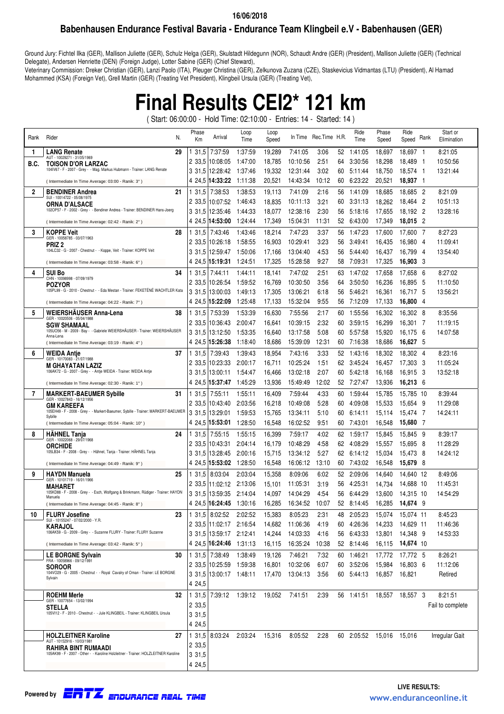### **Babenhausen Endurance Festival Bavaria - Endurance Team Klingbeil e.V - Babenhausen (GER)**

Ground Jury: Fichtel Ilka (GER), Mallison Juliette (GER), Schulz Helga (GER), Skulstadt Hildegunn (NOR), Schaudt Andre (GER) (President), Mallison Juliette (GER) (Technical Delegate), Andersen Henriette (DEN) (Foreign Judge), Lotter Sabine (GER) (Chief Steward),

Veterinary Commission: Dreker Christian (GER), Lanzi Paolo (ITA), Pleuger Christina (GER), Zelkunova Zuzana (CZE), Staskevicius Vidmantas (LTU) (President), Al Hamad Mohammed (KSA) (Foreign Vet), Grell Martin (GER) (Treating Vet President), Klingbeil Ursula (GER) (Treating Vet),

# **Final Results CEI2\* 121 km**

( Start: 06:00:00 - Hold Time: 02:10:00 - Entries: 14 - Started: 14 )

| Rank | Rider                                                                                         | N. | Phase<br>Km | Arrival                 | Loop<br>Time | Loop<br>Speed |          | In Time Rec. Time H.R. |    | Ride<br>Time | Phase<br>Speed   | Ride<br>Speed Rank |                | Start or<br>Elimination |
|------|-----------------------------------------------------------------------------------------------|----|-------------|-------------------------|--------------|---------------|----------|------------------------|----|--------------|------------------|--------------------|----------------|-------------------------|
| 1    | <b>LANG Renate</b>                                                                            | 29 | 131,5       | 7:37:59                 | 1:37:59      | 19,289        | 7:41:05  | 3:06                   | 52 | 1:41:05      | 18,697           | 18,697             | $\overline{1}$ | 8:21:05                 |
| B.C. | AUT - 10029271 - 31/05/1969<br><b>TOISON D'OR LARZAC</b>                                      |    | 2 33,5      | 10:08:05                | 1:47:00      | 18,785        | 10:10:56 | 2:51                   | 64 | 3:30:56      | 18,298           | 18,489             | - 1            | 10:50:56                |
|      | 104IV67 - F - 2007 - Grey - - Mag. Markus Hubmann - Trainer: LANG Renate                      |    | 3 31,5      | 12:28:42                | 1:37:46      | 19,332        | 12:31:44 | 3:02                   | 60 | 5:11:44      | 18,750           | 18,574             | - 1            | 13:21:44                |
|      | (Intermediate In Time Average: 03:00 - Ranik: 3°)                                             |    | 4 24,5      | 14:33:22                | 1:11:38      | 20,521        | 14:43:34 | 10:12                  | 60 | 6:23:22      | 20,521           | 18,937             | - 1            |                         |
| 2    | <b>BENDINER Andrea</b>                                                                        | 21 | 31,5        | 7:38:53                 | 1:38:53      | 19,113        | 7:41:09  | 2:16                   | 56 | 1:41:09      | 18,685           | 18,685 2           |                | 8:21:09                 |
|      | SUI - 10014722 - 05/08/1975<br><b>ORNA D'ALSACE</b>                                           |    | 2 33,5      | 10:07:52                | 1:46:43      | 18,835        | 10:11:13 | 3:21                   | 60 | 3:31:13      | 18,262           | 18,464             | -2             | 10:51:13                |
|      | 102OP57 - F - 2002 - Grey - - Bendiner Andrea - Trainer: BENDINER Hans-Joerg                  |    | 3 31.5      | 12:35:46                | 1:44:33      | 18,077        | 12:38:16 | 2:30                   | 56 | 5:18:16      | 17,655           | 18,192 2           |                | 13:28:16                |
|      | (Intermediate In Time Average: 02:42 - Ranik: 2°)                                             |    | 4 24,5      | 14:53:00                | 1:24:44      | 17,349        | 15:04:31 | 11:31                  | 52 | 6:43:00      | 17,349           | 18,015 2           |                |                         |
| 3    | <b>KOPPE Veit</b>                                                                             | 28 | 31,5        | 7:43:46                 | 1:43:46      | 18,214        | 7:47:23  | 3:37                   | 56 | 1:47:23      | 17,600           | 17,600 7           |                | 8:27:23                 |
|      | GER - 10058785 - 03/07/1963<br>PRIZ 2                                                         |    | 2 33,5      | 10:26:18                | 1.58.55      | 16,903        | 10:29:41 | 3:23                   | 56 | 3:49:41      | 16,435           | 16,980             | - 4            | 11:09:41                |
|      | 104LC32 - G - 2007 - Chestnut - - Koppe, Veit - Trainer: KOPPE Veit                           |    | 3 31.5      | 12:59:47                | 1:50:06      | 17,166        | 13:04:40 | 4.53                   | 56 | 5:44:40      | 16,437           | 16,799 4           |                | 13:54:40                |
|      | (Intermediate In Time Average: 03:58 - Ranik: 6°)                                             |    | 4 24,5      | 15:19:31                | 1:24:51      | 17,325        | 15:28:58 | 9:27                   | 58 | 7:09:31      | 17,325           | 16,903 3           |                |                         |
| 4    | <b>SUI Bo</b>                                                                                 | 34 | 31,5        | 7:44:11                 | 1:44:11      | 18,141        | 7:47:02  | 2:51                   | 63 | 1:47:02      | 17,658           | 17,658             | - 6            | 8:27:02                 |
|      | CHN - 10098998 - 07/09/1979<br><b>POZYOR</b>                                                  |    | 2 33,5      | 10:26:54                | 1.59.52      | 16,769        | 10:30:50 | 3:56                   | 64 | 3:50:50      | 16,236           | 16,895             | -5             | 11:10:50                |
|      | 105PL99 - G - 2010 - Chestnut - - Eda Mestan - Trainer: FEKETÉNÉ WACHTLER Kata                |    | 3 31,5      | 13:00:03                | 1:49:13      | 17,305        | 13:06:21 | 6:18                   | 56 | 5:46:21      | 16,361           | 16,717 5           |                | 13:56:21                |
|      | (Intermediate In Time Average: 04:22 - Ranik: 7°)                                             |    | 4 24,5      | 15:22:09                | 1:25:48      | 17,133        | 15:32:04 | 9:55                   | 56 | 7:12:09      | 17,133           | 16,800             | -4             |                         |
| 5    | WEIERSHAUSER Anna-Lena                                                                        | 38 | 131.5       | 7:53:39                 | 1.53:39      | 16,630        | 7:55:56  | 2:17                   | 60 | 1:55:56      | 16,302           | 16,302 8           |                | 8:35:56                 |
|      | GER - 10020506 - 05/04/1988<br><b>SGW SHAMAAL</b>                                             |    | 2 33,5      | 10:36:43                | 2:00:47      | 16,641        | 10:39:15 | 2:32                   | 60 | 3:59:15      | 16,299           | 16,301 7           |                | 11:19:15                |
|      | 105UO56 - M - 2009 - Bay - - Gabriele WEIERSHÄUSER - Trainer: WEIERSHÄUSER<br>Anna-Lena       |    |             | 3 31,5 13:12:50         | 1:53:35      | 16,640        | 13:17:58 | 5:08                   | 60 | 5:57:58      | 15,920           | 16,175             | -6             | 14:07:58                |
|      | (Intermediate In Time Average: 03:19 - Ranik: 4°)                                             |    |             | 4 24,5 15:26:38         | 1:18:40      | 18,686        | 15:39:09 | 12:31                  | 60 | 7:16:38      | 18,686           | 16,627 5           |                |                         |
| 6    | <b>WEIDA Antie</b>                                                                            | 37 | 131,5       | 7:39:43                 | 1:39:43      | 18,954        | 7:43:16  | 3:33                   | 52 | 1:43:16      | 18,302           | 18,302 4           |                | 8:23:16                 |
|      | GER - 10170083 - 21/07/1988<br>M GHAYATAN LAZIZ                                               |    | 2 33,5      | 10:23:33                | 2:00:17      | 16,711        | 10:25:24 | 1:51                   | 62 | 3:45:24      | 16,457           | 17,303             | -3             | 11:05:24                |
|      | 106AK72 - G - 2007 - Grey - - Antje WEIDA - Trainer: WEIDA Antje                              |    |             | 3 31,5 13:00:11         | 1:54:47      | 16,466        | 13:02:18 | 2:07                   | 60 | 5:42:18      | 16,168           | 16,915             | - 3            | 13:52:18                |
|      | (Intermediate In Time Average: 02:30 - Ranik: 1°)                                             |    | 4 24,5      | 15:37:47                | 1:45:29      | 13,936        | 15:49:49 | 12:02                  | 52 | 7:27:47      | 13,936           | 16,213 6           |                |                         |
| 7    | <b>MARKERT-BAEUMER Sybille</b>                                                                | 31 | 1 31,5      | 7:55:11                 | 1:55:11      | 16,409        | 7:59:44  | 4:33                   | 60 | 1:59:44      | 15,785           | 15,785 10          |                | 8:39:44                 |
|      | GER - 10027843 - 16/12/1956<br><b>GM KAREEFA</b>                                              |    |             | 2 33,5 10:43:40         | 2:03:56      | 16,218        | 10:49:08 | 5:28                   | 60 | 4:09:08      | 15,533           | 15,654             | -9             | 11:29:08                |
|      | 105EH49 - F - 2008 - Grey - - Markert-Baeumer, Sybille - Trainer: MARKERT-BAEUMER<br>Sybille  |    |             | 3 31,5 13:29:01         | 1.59.53      | 15,765        | 13:34:11 | 5:10                   | 60 | 6:14:11      | 15,114           | 15,474             | -7             | 14:24:11                |
|      | (Intermediate In Time Average: 05:04 - Ranik: 10°)                                            |    | 4 24,5      | 15:53:01                | 1:28:50      | 16,548        | 16:02:52 | 9:51                   | 60 | 7:43:01      | 16,548           | 15,680 7           |                |                         |
| 8    | <b>HAHNEL Tanja</b>                                                                           | 24 | 131,5       | 7:55:15                 | 1:55:15      | 16,399        | 7:59:17  | 4:02                   | 62 | 1:59:17      | 15,845           | 15,845             | 9              | 8:39:17                 |
|      | GER - 10022068 - 29/07/1968<br><b>ORCHIDE</b>                                                 |    |             | 2 33,5 10:43:31         | 2:04:14      | 16,179        | 10:48:29 | 4:58                   | 62 | 4:08:29      | 15,557           | 15,695             | -8             | 11:28:29                |
|      | 105LB34 - F - 2008 - Grey - - Hähnel, Tanja - Trainer: HÄHNEL Tanja                           |    |             | 3 31,5 13:28:45         | 2:00:16      | 15,715        | 13:34:12 | 5:27                   | 62 | 6:14:12      | 15,034           | 15,473             | -8             | 14:24:12                |
|      | (Intermediate In Time Average: 04:49 - Ranik: 9°)                                             |    | 4 24,5      | 15:53:02                | 1:28:50      | 16,548        | 16:06:12 | 13:10                  | 60 | 7:43:02      | 16,548           | 15,679             | - 8            |                         |
| 9    | <b>HAYDN Manuela</b>                                                                          | 25 | 1 31,5      | 8:03:04                 | 2:03:04      | 15,358        | 8:09:06  | 6:02                   | 52 | 2:09:06      | 14,640           | 14,640 12          |                | 8:49:06                 |
|      | GER - 10101719 - 16/01/1966<br><b>MAHARET</b>                                                 |    |             | 2 33,5 11:02:12         | 2:13:06      | 15,101        | 11:05:31 | 3:19                   | 56 | 4:25:31      | 14,734           | 14,688 10          |                | 11:45:31                |
|      | 105KD88 - F - 2008 - Grey - - Esch, Wolfgang & Brinkmann, Rüdiger - Trainer: HAYDN<br>Manuela |    | 3 31.5      | 13:59:35                | 2:14:04      | 14,097        | 14:04:29 | 4.54                   | 56 | 6:44:29      | 13,600           | 14.315 10          |                | 14:54:29                |
|      | (Intermediate In Time Average: 04:45 - Ranik: 8°)                                             |    |             | 4 24,5 16:24:45         | 1:30:16      | 16.285        | 16:34:52 | 10:07                  | 52 | 8:14:45      | 16,285           | 14.674             | - 9            |                         |
| 10   | <b>FLURY Josefine</b>                                                                         | 23 |             | 1 31,5 8:02:52 2:02:52  |              | 15,383        | 8:05:23  | 2:31                   | 48 | 2:05:23      | 15,074 15,074 11 |                    |                | 8:45:23                 |
|      | SUI - 10155247 - 07/02/2000 - Y.R.<br><b>KARAJOL</b>                                          |    |             | 2 33,5 11:02:17         | 2:16:54      | 14,682        | 11:06:36 | 4:19                   | 60 | 4:26:36      | 14,233           | 14,629 11          |                | 11:46:36                |
|      | 106AK59 - G - 2009 - Grey - - Suzanne FLURY - Trainer: FLURY Suzanne                          |    |             | 3 31,5 13:59:17         | 2:12:41      | 14,244        | 14:03:33 | 4:16                   | 56 | 6:43:33      | 13,801           | 14,348 9           |                | 14:53:33                |
|      | (Intermediate In Time Average: 03:42 - Ranik: 5°)                                             |    |             | 4 24,5 16:24:46         | 1:31:13      | 16,115        | 16:35:24 | 10:38                  |    | 52 8:14:46   | 16,115           | 14,674 10          |                |                         |
|      | <b>LE BORGNE Sylvain</b>                                                                      | 30 |             | 1 31,5 7:38:49          | 1:38:49      | 19,126        | 7:46:21  | 7:32                   |    | 60 1:46:21   | 17,772           | 17,772 5           |                | 8:26:21                 |
|      | FRA - 10058966 - 09/12/1991<br><b>SOROOR</b>                                                  |    |             | 2 33,5 10:25:59         | 1:59:38      | 16,801        | 10:32:06 | 6:07                   | 60 | 3:52:06      | 15,984           | 16,803 6           |                | 11:12:06                |
|      | 104VO29 - G - 2005 - Chestnut - - Royal Cavalry of Oman - Trainer: LE BORGNE<br>Sylvain       |    |             | 3 31,5 13:00:17 1:48:11 |              | 17,470        | 13:04:13 | 3:56                   | 60 | 5:44:13      | 16,857           | 16,821             |                | Retired                 |
|      |                                                                                               |    | 4 24,5      |                         |              |               |          |                        |    |              |                  |                    |                |                         |
|      | <b>ROEHM Merle</b>                                                                            | 32 |             | 1 31,5 7:39:12          | 1:39:12      | 19,052        | 7:41:51  | 2:39                   |    | 56 1:41:51   | 18.557 18.557 3  |                    |                | 8:21:51                 |
|      | GER - 10077654 - 13/02/1994<br><b>STELLA</b>                                                  |    | 2 33,5      |                         |              |               |          |                        |    |              |                  |                    |                | Fail to complete        |
|      | 105VI12 - F - 2010 - Chestnut - - Jule KLINGBEIL - Trainer: KLINGBEIL Ursula                  |    | 3 31,5      |                         |              |               |          |                        |    |              |                  |                    |                |                         |
|      |                                                                                               |    | 4 24,5      |                         |              |               |          |                        |    |              |                  |                    |                |                         |
|      | <b>HOLZLEITNER Karoline</b>                                                                   | 27 |             | 1 31,5 8:03:24          | 2:03:24      | 15,316        | 8:05:52  | 2:28                   |    | 60 2:05:52   | 15,016           | 15,016             |                | Irregular Gait          |
|      | AUT - 10152916 - 10/03/1981<br>RAHIRA BINT RUMAADI                                            |    | 2 33,5      |                         |              |               |          |                        |    |              |                  |                    |                |                         |
|      | 105AK99 - F - 2007 - Other - - Karoline Holzleitner - Trainer: HOLZLEITNER Karoline           |    | 3 3 1 , 5   |                         |              |               |          |                        |    |              |                  |                    |                |                         |
|      |                                                                                               |    | 4 24,5      |                         |              |               |          |                        |    |              |                  |                    |                |                         |

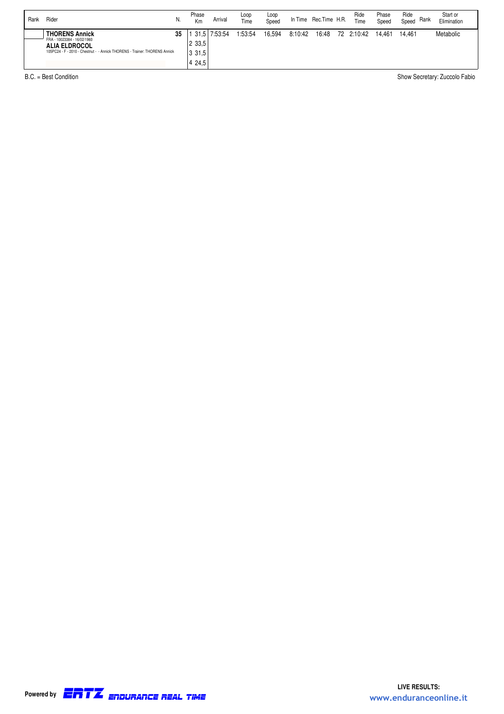| Rank | Rider                                                                                                                                                      | N. | Phase<br>Km                           | Arrival | Loop<br>Time | Loop<br>Speed |         | In Time Rec. Time H.R. | Ride<br>Time | Phase<br>Speed | Ride<br>Speed | Rank | Start or<br>Elimination |
|------|------------------------------------------------------------------------------------------------------------------------------------------------------------|----|---------------------------------------|---------|--------------|---------------|---------|------------------------|--------------|----------------|---------------|------|-------------------------|
|      | <b>THORENS Annick</b><br>FRA - 10023384 - 16/02/1960<br><b>ALIA ELDROCOL</b><br>105PC24 - F - 2010 - Chestnut - - Annick THORENS - Trainer: THORENS Annick | 35 | 131.5<br>2 3 3 .5<br>3 31.5<br>4 24.5 | 7:53:54 | 1:53:54      | 16.594        | 8:10:42 | 16:48                  | 72 2:10:42   | 14.461         | 14.461        |      | Metabolic               |

B.C. = Best Condition Show Secretary: Zuccolo Fabio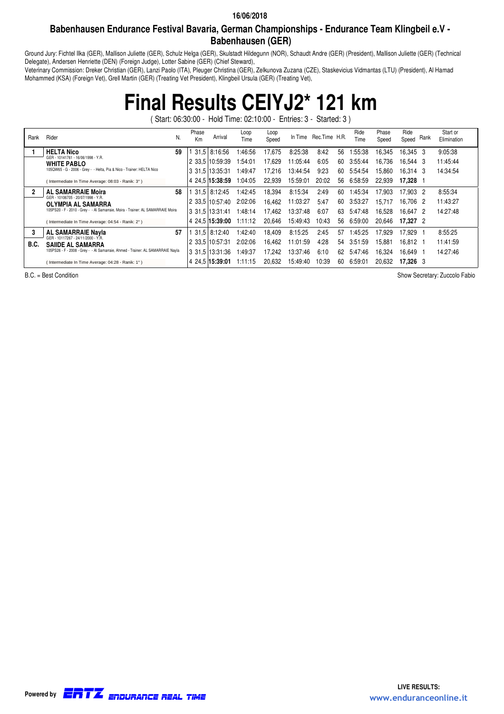### **Babenhausen Endurance Festival Bavaria, German Championships - Endurance Team Klingbeil e.V - Babenhausen (GER)**

Ground Jury: Fichtel Ilka (GER), Mallison Juliette (GER), Schulz Helga (GER), Skulstadt Hildegunn (NOR), Schaudt Andre (GER) (President), Mallison Juliette (GER) (Technical Delegate), Andersen Henriette (DEN) (Foreign Judge), Lotter Sabine (GER) (Chief Steward),

Veterinary Commission: Dreker Christian (GER), Lanzi Paolo (ITA), Pleuger Christina (GER), Zelkunova Zuzana (CZE), Staskevicius Vidmantas (LTU) (President), Al Hamad Mohammed (KSA) (Foreign Vet), Grell Martin (GER) (Treating Vet President), Klingbeil Ursula (GER) (Treating Vet),

## **Final Results CEIYJ2\* 121 km**

( Start: 06:30:00 - Hold Time: 02:10:00 - Entries: 3 - Started: 3 )

| Rank | N.<br>Rider                                                                     |    | Phase<br>Km | Arrival         | Loop<br>Time | Loop<br>Speed |          | In Time Rec. Time H.R. |    | Ride<br>Time | Phase<br>Speed | Ride<br>Speed Rank | Start or<br>Elimination |
|------|---------------------------------------------------------------------------------|----|-------------|-----------------|--------------|---------------|----------|------------------------|----|--------------|----------------|--------------------|-------------------------|
|      | <b>HELTA Nico</b>                                                               | 59 |             | 1 31.5 8:16:56  | 1:46:56      | 17.675        | 8:25:38  | 8:42                   | 56 | :55:38       | 16,345         | 16.345 3           | 9:05:38                 |
|      | GER - 10141761 - 16/06/1998 - Y.R.<br><b>WHITE PABLO</b>                        |    |             | 2 33.5 10:59:39 | 1:54:01      | 17.629        | 11:05:44 | 6:05                   | 60 | 3:55:44      | 16.736         | 16.544 3           | 11:45:44                |
|      | 105QW65 - G - 2006 - Grey - - Helta, Pia & Nico - Trainer: HELTA Nico           |    |             | 3 31.5 13:35:31 | 1:49:47      | 17.216        | 13:44:54 | 9:23                   | 60 | 5:54:54      | 15.860         | 16.314 3           | 14:34:54                |
|      | (Intermediate In Time Average: 08:03 - Ranik: 3°)                               |    |             | 4 24.5 15:38:59 | 1:04:05      | 22.939        | 15:59:01 | 20:02                  | 56 | 6:58:59      | 22.939         | 17.328 1           |                         |
|      | <b>AL SAMARRAIE Moira</b>                                                       | 58 |             | 1 31.5 8:12:45  | 1:42:45      | 18.394        | 8:15:34  | 2:49                   | 60 | 1:45:34      | 17.903         | 17.903 2           | 8:55:34                 |
|      | GER - 10106705 - 20/07/1998 - Y.R.<br><b>OLYMPIA AL SAMARRA</b>                 |    |             | 2 33.5 10:57:40 | 2:02:06      | 16.462        | 11:03:27 | 5:47                   | 60 | 3:53:27      | 15.717         | 16.706 2           | 11:43:27                |
|      | 105PS20 - F - 2010 - Grey - - Al Samarraie, Moira - Trainer: AL SAMARRAIE Moira |    |             | 3 31.5 13:31:41 | 1:48:14      | 17.462        | 13:37:48 | 6:07                   | 63 | 5:47:48      | 16.528         | 16.647 2           | 14:27:48                |
|      | (Intermediate In Time Average: 04:54 - Ranik: 2°)                               |    |             | 4 24.5 15:39:00 | 1:11:12      | 20.646        | 15:49:43 | 10:43                  | 56 | 6:59:00      | 20.646         | 17.327 2           |                         |
|      | <b>AL SAMARRAIE Navia</b>                                                       | 57 |             | 31.5 8:12:40    | 1:42:40      | 18.409        | 8:15:25  | 2:45                   | 57 | 1:45:25      | 17.929         | 17.929             | 8:55:25                 |
| B.C. | GER - 10117267 - 24/11/2000 - Y.R.<br><b>SAIIDE AL SAMARRA</b>                  |    |             | 2 33.5 10:57:31 | 2:02:06      | 16.462        | 11:01:59 | 4:28                   | 54 | 3:51:59      | 15.881         | 16.812 1           | 11:41:59                |
|      | 105PS26 - F - 2008 - Grey - - Al Samarraie, Ahmed - Trainer: AL SAMARRAIE Nayla |    |             | 3 31.5 13:31:36 | 1:49:37      | 17.242        | 13:37:46 | 6:10                   | 62 | 5:47:46      | 16.324         | 16.649 1           | 14:27:46                |
|      | (Intermediate In Time Average: 04:28 - Ranik: 1°)                               |    |             | 4 24.5 15:39:01 | 1:11:15      | 20.632        | 15:49:40 | 10:39                  | 60 | 6:59:01      | 20.632         | 17.326 3           |                         |

B.C. = Best Condition Contract Condition Show Secretary: Zuccolo Fabio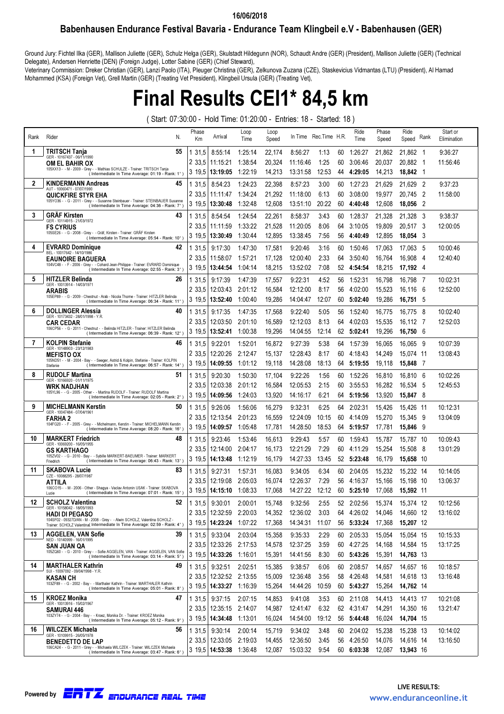### Babenhausen Endurance Festival Bavaria - Endurance Team Klingbeil e.V - Babenhausen (GER) 16/06/2018

Ground Jury: Fichtel Ilka (GER), Mallison Juliette (GER), Schulz Helga (GER), Skulstadt Hildegunn (NOR), Schaudt Andre (GER) (President), Mallison Juliette (GER) (Technical Delegate), Andersen Henriette (DEN) (Foreign Judge), Lotter Sabine (GER) (Chief Steward),

Veterinary Commission: Dreker Christian (GER), Lanzi Paolo (ITA), Pleuger Christina (GER), Zelkunova Zuzana (CZE), Staskevicius Vidmantas (LTU) (President), Al Hamad Mohammed (KSA) (Foreign Vet), Grell Martin (GER) (Treating Vet President), Klingbeil Ursula (GER) (Treating Vet),

## Final Results CEI1\* 84,5 km

( Start: 07:30:00 - Hold Time: 01:20:00 - Entries: 18 - Started: 18 )

| Rank | Rider<br>N.                                                                                                                            | Phase<br>Km      | Arrival                                     | Loop<br>Time       | Loop<br>Speed    | In Time              | Rec.Time H.R.  |          | Ride<br>Time       | Phase<br>Speed   | Ride<br>Speed          | Rank           | Start or<br>Elimination |
|------|----------------------------------------------------------------------------------------------------------------------------------------|------------------|---------------------------------------------|--------------------|------------------|----------------------|----------------|----------|--------------------|------------------|------------------------|----------------|-------------------------|
| 1    | TRITSCH Tanja<br>55<br>GER - 10167437 - 06/11/1990                                                                                     | 31,5             | 8:55:14                                     | 1:25:14            | 22,174           | 8:56:27              | 1:13           | 60       | 1:26:27            | 21,862           | 21,862 1               |                | 9:36:27                 |
|      | <b>OM EL BAHIR OX</b>                                                                                                                  | 2 33,5           | 11:15:21                                    | 1:38:54            | 20,324           | 11:16:46             | 1:25           | 60       | 3:06:46            | 20,037           | 20,882 1               |                | 11:56:46                |
|      | 105XX13 - - M - 2009 - Grey - - Mathias SCHULZE - Trainer: TRITSCH Tanja<br>(Intermediate In Time Average: 01:19 - Rank: 1°)           | 3 19,5           | 13:19:05                                    | 1:22:19            | 14,213           | 13:31:58             | 12:53          | 44       | 4:29:05            | 14,213           | 18,842 1               |                |                         |
| 2    | <b>KINDERMANN Andreas</b><br>45                                                                                                        | 1 31,5           | 8:54:23                                     | 1:24:23            | 22,398           | 8:57:23              | 3:00           | 60       | 1:27:23            | 21,629           | 21.629                 | - 2            | 9:37:23                 |
|      | AUT - 10060471 - 07/07/1990<br><b>QUICKFIRE STYR EHA</b>                                                                               | 2 33,5           | 11:11:47                                    | 1:34:24            | 21,292           | 11:18:00             | 6:13           | 60       | 3:08:00            | 19,977           | 20,745                 | $\overline{2}$ | 11:58:00                |
|      | 105YO36 - - G - 2011 - Grey - - Susanne Steinbauer - Trainer: STEINBAUER Susanne<br>(Intermediate In Time Average: 04:36 - Rank: 7°)   | 3 19.5           | 13:30:48                                    | 1:32:48            | 12,608           | 13:51:10             | 20:22          | 60       | 4:40:48            | 12,608           | 18,056                 | $\overline{2}$ |                         |
| 3    | <b>GRÄF Kirsten</b><br>43                                                                                                              | 1 31.5           | 8:54:54                                     | 1:24:54            | 22,261           | 8:58:37              | 3:43           | 60       | 1:28:37            | 21,328           | 21,328                 | - 3            | 9:38:37                 |
|      | GER - 10114915 - 21/03/1972<br><b>FS CYRIUS</b>                                                                                        | 2 33.5           | 11:11:59                                    | 1:33:22            | 21,528           | 11:20:05             | 8:06           | 64       | 3:10:05            | 19,809           | 20,517 3               |                | 12:00:05                |
|      | 105SE26 - - G - 2008 - Grey - - Gräf, Kirsten - Trainer: GRÄF Kirsten<br>(Intermediate In Time Average: 05:54 - Rank: 10°)             | 3 19.5           | 13:30:49                                    | 1:30:44            | 12,895           | 13:38:45             | 7:56           | 56       | 4:40:49            | 12,895           | 18.054 3               |                |                         |
| 4    | 42<br><b>EVRARD Dominique</b>                                                                                                          | 1 31,5           | 9:17:30                                     | 1:47:30            | 17,581           | 9:20:46              | 3:16           | 60       | 1:50:46            | 17,063           | 17.063 5               |                | 10:00:46                |
|      | BEL - 10017642 - 14/10/1986<br><b>EAUNOIRE BAGUERA</b>                                                                                 | 2 33,5           | 11:58:07                                    | 1:57:21            | 17,128           | 12:00:40             | 2:33           | 64       | 3:50:40            | 16,764           | 16,908                 | - 4            | 12:40:40                |
|      | 104VC48 - - F - 2006 - Grey - - Cohard Jean-Philippe - Trainer: EVRARD Dominique<br>(Intermediate In Time Average: 02:55 - Rank: 3°)   | 3 19.5           | 13:44:54                                    | 1:04:14            | 18,215           | 13:52:02             | 7:08           | 52       | 4:54:54            | 18,215           | 17,192 4               |                |                         |
| 5    | <b>HITZLER Belinda</b><br>26                                                                                                           | 1 31,5           | 9:17:39                                     | 1:47:39            | 17,557           | 9:22:31              | 4:52           | 56       | 1:52:31            | 16,798           | 16,798 7               |                | 10:02:31                |
|      | GER - 10013914 - 14/03/1971<br>ARABIS                                                                                                  | 2 33.5           | 12:03:43                                    | 2:01:12            | 16,584           | 12:12:00             | 8:17           | 56       | 4:02:00            | 15,523           | 16,116                 | - 6            | 12:52:00                |
|      | 105EP89 - - G - 2009 - Chestnut - Arab - Nicola Thorne - Trainer: HITZLER Belinda<br>(Intermediate In Time Average: 06:34 - Rank: 11°) | 3 19.5           | 13:52:40                                    | 1:00:40            | 19,286           | 14:04:47             | 12:07          | 60       | 5:02:40            | 19,286           | 16,751 5               |                |                         |
| 6    | <b>DOLLINGER Alessia</b><br>40                                                                                                         | 1 31,5           | 9:17:35                                     | 1:47:35            | 17,568           | 9:22:40              | 5:05           | 56       | 1:52:40            | 16,775           | 16,775 8               |                | 10:02:40                |
|      | GER - 10173432 - 28/01/1998 - Y.R.<br><b>CAR CEDAR</b>                                                                                 | 2 33,5           | 12:03:50                                    | 2:01:10            | 16,589           | 12:12:03             | 8:13           | 64       | 4:02:03            | 15,535           | 16.112 7               |                | 12:52:03                |
|      | 106CP56 - - G - 2011 - Chestnut - - Belinda HITZLER - Trainer: HITZLER Belinda<br>(Intermediate In Time Average: 06:39 - Rank: 12°)    | 3 19,5           | 13:52:41                                    | 1:00:38            | 19,296           | 14:04:55             | 12:14          | 62       | 5:02:41            | 19,296           | 16,750 6               |                |                         |
| 7    | <b>KOLPIN Stefanie</b><br>46                                                                                                           | 1 31.5           | 9:22:01                                     | 1:52:01            | 16,872           | 9:27:39              | 5:38           | 64       | 1:57:39            | 16,065           | 16,065 9               |                | 10:07:39                |
|      | GER - 10148903 - 23/12/1983                                                                                                            | 2 33.5           | 12:20:26                                    | 2:12:47            | 15,137           | 12:28:43             | 8:17           | 60       | 4:18:43            | 14,249           | 15,074 11              |                | 13:08:43                |
|      | <b>MEFISTO OX</b><br>105ND51 - - M - 2004 - Bay - - Seeger, Astrid & Kolpin, Stefanie - Trainer: KOLPIN                                | 3 19.5           | 14:09:55                                    | 1:01:12            | 19,118           | 14:28:08             | 18:13          | 64       | 5:19:55            | 19,118           | 15.848 7               |                |                         |
| 8    | (Intermediate In Time Average: 06:57 - Rank: 14°)<br>Stefanie<br><b>RUDOLF Martina</b><br>51                                           |                  |                                             |                    |                  |                      |                |          |                    |                  |                        |                |                         |
|      | GER - 10166920 - 01/11/1975                                                                                                            | 1 31,5           | 9:20:30                                     | 1:50:30            | 17,104           | 9:22:26              | 1:56<br>2:15   | 60       | 1:52:26            | 16,810           | 16,810 6               |                | 10:02:26<br>12:45:53    |
|      | WRK NADJHAN<br>105YL96 - - G - 2005 - Other - - Martina RUDOLF - Trainer: RUDOLF Martina                                               | 2 33.5<br>3 19.5 | 12:03:38<br>14:09:56                        | 2:01:12<br>1:24:03 | 16,584<br>13,920 | 12:05:53<br>14:16:17 | 6:21           | 60<br>64 | 3:55:53<br>5:19:56 | 16,282<br>13,920 | 16,534 5<br>15,847 8   |                |                         |
| 9    | (Intermediate In Time Average: 02:05 - Rank: 2°)                                                                                       |                  |                                             |                    |                  |                      |                |          |                    |                  |                        |                |                         |
|      | <b>MICHELMANN Kerstin</b><br>50<br>GER - 10047484 - 07/04/1961                                                                         | 1 31,5           | 9:26:06                                     | 1:56:06            | 16,279           | 9:32:31              | 6:25           | 64       | 2:02:31            | 15,426           | 15,426 11              |                | 10:12:31                |
|      | <b>FARHA 2</b><br>104FG20 - - F - 2005 - Grey - - Michelmann, Kerstin - Trainer: MICHELMANN Kerstin                                    | 2 33,5<br>3 19.5 | 12:13:54                                    | 2:01:23<br>1:05:48 | 16,559<br>17,781 | 12:24:09<br>14:28:50 | 10:15<br>18:53 | 60<br>64 | 4:14:09            | 15,270           | 15,345<br>15,846       | - 9<br>- 9     | 13:04:09                |
|      | (Intermediate In Time Average: 08:20 - Rank: 16°)                                                                                      |                  | 14:09:57                                    |                    |                  |                      |                |          | 5:19:57            | 17,781           |                        |                |                         |
| 10   | <b>MARKERT Friedrich</b><br>48<br>GER - 10069200 - 16/05/1955                                                                          | 1 31,5           | 9:23:46                                     | 1:53:46            | 16,613           | 9:29:43              | 5:57           | 60       | 1:59:43            | 15,787           | 15,787 10              |                | 10:09:43                |
|      | <b>GS KARTHAGO</b><br>105ZV02 - - G - 2010 - Bay - - Sybille MARKERT-BAEUMER - Trainer: MARKERT                                        | 2 33.5<br>3 19.5 | 12:14:00<br>14:13:48                        | 2:04:17<br>1:12:19 | 16,173<br>16,179 | 12:21:29<br>14:27:33 | 7:29<br>13:45  | 60<br>52 | 4:11:29<br>5:23:48 | 15,254<br>16,179 | 15,508<br>15,658 10    | - 8            | 13:01:29                |
|      | (Intermediate In Time Average: 06:43 - Rank: 13°)<br>Friedrich                                                                         |                  |                                             |                    |                  |                      |                |          |                    |                  |                        |                |                         |
| 11   | <b>SKABOVA Lucie</b><br>83<br>CZE - 10088295 - 28/07/1987                                                                              | 31,5             | 9:27:31                                     | 1:57:31            | 16,083           | 9:34:05              | 6:34           | 60       | 2:04:05            | 15,232           | 15,232 14              |                | 10:14:05                |
|      | ATTILA<br>106CO15 - - M - 2006 - Other - Shagya - Vaclav Antonin USAK - Trainer: SKABOVA                                               | 2 33,5           | 12:19:08                                    | 2:05:03            | 16,074           | 12:26:37             | 7:29           | 56       | 4:16:37            | 15,166           | 15.198 10              |                | 13:06:37                |
|      | (Intermediate In Time Average: 07:01 - Rank: 15°)<br>I ucie                                                                            | 3 19.5           | 14:15:10                                    | 1:08:33            | 17,068           | 14:27:22             | 12:12          | 60       | 5:25:10            | 17,068           | 15.592 11              |                |                         |
| 12   | <b>SCHOLZ Valentina</b><br>52<br>GER - 10158042 - 18/05/1993                                                                           | 1 31,5           | 9:30:01                                     | 2:00:01            | 15,748           | 9:32:56              | 2:55           |          | 52 2:02:56         | 15,374           | 15,374 12              |                | 10:12:56                |
|      | <b>HADI DI PEGASO</b><br>104SF02 - 09327D/AN - M - 2008 - Grey - - Alwin SCHOLZ, Valentina SCHOLZ -                                    |                  | 2 33,5 12:32:59 2:20:03<br>3 19,5 14:23:24  | 1:07:22            | 14,352<br>17,368 | 12:36:02<br>14:34:31 | 3:03<br>11:07  | 64       | 4:26:02            | 14,046           | 14,660 12<br>15.207 12 |                | 13:16:02                |
|      | Trainer: SCHOLZ Valentina(Intermediate In Time Average: 02:59 - Rank: 4°)                                                              |                  |                                             |                    |                  |                      |                |          | 56 5:33:24         | 17,368           |                        |                |                         |
| 13   | <b>AGGELEN, VAN Sofie</b><br>39<br>NED - 10140999 - 16/01/1995                                                                         | 131,5            | 9:33:04                                     | 2:03:04            | 15,358           | 9:35:33              | 2:29           |          | 60 2:05:33         | 15,054           | 15,054 15              |                | 10:15:33                |
|      | SAN JUAN QA<br>105ZQ60 - - G - 2010 - Grey - - Sofie AGGELEN, VAN - Trainer: AGGELEN, VAN Sofie                                        | 2 33.5           | 12:33:26 2:17:53<br>3 19,5 14:33:26 1:16:01 |                    | 14,578           | 12:37:25<br>14:41:56 | 3:59           |          | 60 4:27:25         | 14,168           | 14,584 15              |                | 13:17:25                |
|      | (Intermediate In Time Average: 03:14 - Rank: 5°)                                                                                       |                  |                                             |                    | 15,391           |                      | 8:30           |          | 60 5:43:26         | 15,391           | 14,763 13              |                |                         |
| 14   | <b>MARTHALER Kathrin</b><br>49<br>SUI - 10097092 - 09/04/1998 - Y.R.                                                                   | 1 31,5           | 9:32:51                                     | 2:02:51            | 15,385           | 9:38:57              | 6:06           |          | 60 2:08:57         | 14,657           | 14,657 16              |                | 10:18:57                |
|      | KASAN CH<br>103ZF89 - - G - 2002 - Bay - - Marthaler Kathrin - Trainer: MARTHALER Kathrin                                              | 2 3 3 , 5        | 12:32:52 2:13:55                            |                    | 15,009           | 12:36:48             | 3:56           | 58       | 4:26:48            | 14,581           | 14,618 13              |                | 13:16:48                |
|      | (Intermediate In Time Average: 05:01 - Rank: 8°)                                                                                       | 3 19,5           | 14:33:27 1:16:39                            |                    | 15,264           | 14:44:26             | 10:59          |          | 60 5:43:27         | 15,264           | 14,762 14              |                |                         |
| 15   | <b>KROEZ Monika</b><br>47<br>GER - 10013916 - 15/02/1967                                                                               | 1 31,5           | 9:37:15                                     | 2:07:15            | 14,853           | 9:41:08              | 3:53           |          | 60 2:11:08         | 14,413           | 14.413 17              |                | 10:21:08                |
|      | SAMURAI 446<br>103ZY74 - - G - 2004 - Bay - - Kroez, Monika Dr. - Trainer: KROEZ Monika                                                | 2 3 3 , 5        | 12:35:15 2:14:07                            |                    | 14,987           | 12:41:47             | 6:32           |          | 62 4:31:47         | 14,291           | 14.350 16              |                | 13:21:47                |
|      | (Intermediate In Time Average: 05:12 - Rank: 9°)                                                                                       | 3 19,5           | 14:34:48 1:13:01                            |                    | 16,024           | 14:54:00             | 19:12          |          | 56 5:44:48         | 16,024           | 14,704 15              |                |                         |
| 16   | <b>WILCZEK Michaela</b><br>56<br>GER - 10109915 - 26/05/1978                                                                           | 131,5            | 9:30:14                                     | 2:00:14            | 15,719           | 9:34:02              | 3:48           | 60       | 2:04:02            | 15,238           | 15,238 13              |                | 10:14:02                |
|      | <b>BENEDETTO DE LAP</b><br>106CA24 - - G - 2011 - Grey - - Michaela WILCZEK - Trainer: WILCZEK Michaela                                |                  | 2 33,5 12:33:05                             | 2:19:03            | 14,455           | 12:36:50             | 3:45           | 56       | 4:26:50            | 14,076           | 14,616 14              |                | 13:16:50                |
|      | (Intermediate In Time Average: 03:47 - Rank: 6°)                                                                                       |                  | 3 19,5 14:53:38 1:36:48                     |                    | 12,087           | 15:03:32             | 9:54           |          | 60 6:03:38         | 12,087           | 13,943 16              |                |                         |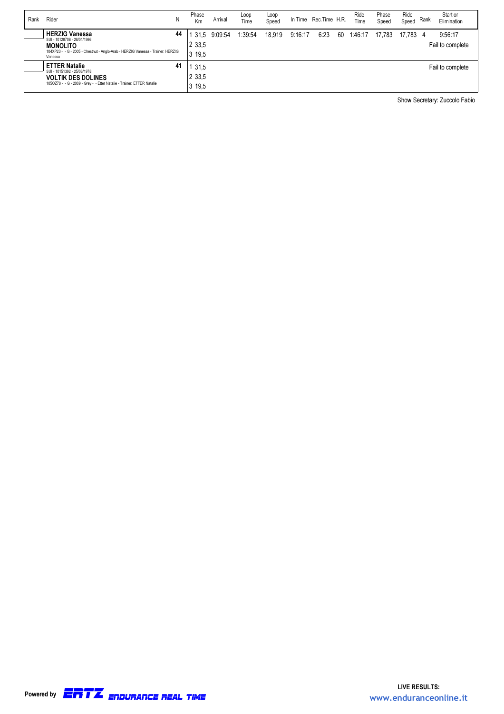| Rank | Rider<br>N.                                                                                                                                                                 | Phase<br>Km               | Arrival | Loop<br>Time | Loop<br>Speed |         | In Time Rec. Time H.R. |    | Ride<br>Time | Phase<br>Speed | Ride<br>Speed | Rank | Start or<br>Elimination     |
|------|-----------------------------------------------------------------------------------------------------------------------------------------------------------------------------|---------------------------|---------|--------------|---------------|---------|------------------------|----|--------------|----------------|---------------|------|-----------------------------|
|      | <b>HERZIG Vanessa</b><br>44<br>SUI - 10128708 - 26/01/1986<br><b>MONOLITO</b><br>104XP23 - - G - 2005 - Chestnut - Anglo-Arab - HERZIG Vanessa - Trainer: HERZIG<br>Vanessa | 31.5<br>2 3 3.5<br>19,5   | 9:09:54 | 1:39:54      | 18.919        | 9:16:17 | 6:23                   | 60 | 1:46:17      | 17.783         | 17.783 4      |      | 9:56:17<br>Fail to complete |
|      | 41<br><b>ETTER Natalie</b><br>SUI - 10151392 - 25/06/1978<br><b>VOLTIK DES DOLINES</b><br>1050Z78 - - G - 2009 - Grey - - Etter Natalie - Trainer: ETTER Natalie            | 31.5<br>2 3 3 5<br>3 19,5 |         |              |               |         |                        |    |              |                |               |      | Fail to complete            |

Show Secretary: Zuccolo Fabio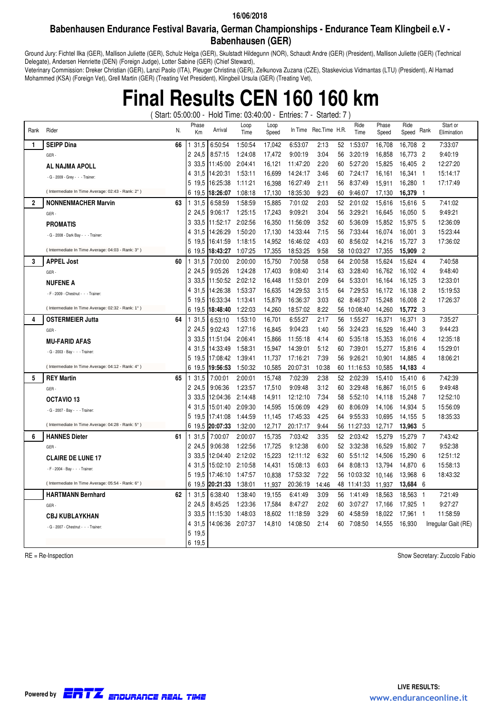### **Babenhausen Endurance Festival Bavaria, German Championships - Endurance Team Klingbeil e.V - Babenhausen (GER)**

Ground Jury: Fichtel Ilka (GER), Mallison Juliette (GER), Schulz Helga (GER), Skulstadt Hildegunn (NOR), Schaudt Andre (GER) (President), Mallison Juliette (GER) (Technical Delegate), Andersen Henriette (DEN) (Foreign Judge), Lotter Sabine (GER) (Chief Steward),

Veterinary Commission: Dreker Christian (GER), Lanzi Paolo (ITA), Pleuger Christina (GER), Zelkunova Zuzana (CZE), Staskevicius Vidmantas (LTU) (President), Al Hamad Mohammed (KSA) (Foreign Vet), Grell Martin (GER) (Treating Vet President), Klingbeil Ursula (GER) (Treating Vet),

# **Final Results CEN 160 160 km**

( Start: 05:00:00 - Hold Time: 03:40:00 - Entries: 7 - Started: 7 )

| Rank           | Rider<br>N.                                      | Phase<br>Km    | Arrival              | Loop<br>Time       | Loop<br>Speed    |                    | In Time Rec. Time H.R. |          | Ride<br>Time       | Phase<br>Speed   | Ride<br>Speed      | Rank           | Start or<br>Elimination |
|----------------|--------------------------------------------------|----------------|----------------------|--------------------|------------------|--------------------|------------------------|----------|--------------------|------------------|--------------------|----------------|-------------------------|
| 1              | <b>SEIPP Dina</b><br>66                          | 31,5           | 6:50:54              | 1:50:54            | 17,042           | 6:53:07            | 2:13                   | 52       | 1:53:07            | 16,708           | 16,708 2           |                | 7:33:07                 |
|                | GER-                                             | 2 24,5         | 8:57:15              | 1:24:08            | 17,472           | 9:00:19            | 3:04                   | 56       | 3:20:19            | 16,858           | 16,773             | - 2            | 9:40:19                 |
|                | AL NAJMA APOLL                                   | 3 3 3 .5       | 11:45:00             | 2:04:41            | 16.121           | 11:47:20           | 2:20                   | 60       | 5:27:20            | 15.825           | 16.405             | - 2            | 12:27:20                |
|                | - G - 2009 - Grey - - - Trainer                  | 4 31.5         | 14:20:31             | 1:53:11            | 16.699           | 14:24:17           | 3:46                   | 60       | 7:24:17            | 16,161           | 16.341             | $\overline{1}$ | 15:14:17                |
|                |                                                  | 5 19.5         | 16:25:38             | 1:11:21            | 16,398           | 16:27:49           | 2:11                   | 56       | 8:37:49            | 15,911           | 16,280             | $\overline{1}$ | 17:17:49                |
|                | (Intermediate In Time Average: 02:43 - Rank: 2°) | 6 19.5         | 18:26:07             | 1:08:18            | 17,130           | 18:35:30           | 9.23                   | 60       | 9:46:07            | 17,130           | 16,379             | $\overline{1}$ |                         |
| $\overline{2}$ | <b>NONNENMACHER Marvin</b><br>63                 | 31,5           | 6:58:59              | 1:58:59            | 15,885           | 7:01:02            | 2:03                   | 52       | 2:01:02            | 15,616           | 15,616             | - 5            | 7:41:02                 |
|                | GER-                                             | 2 24.5         | 9:06:17              | 1:25:15            | 17,243           | 9:09:21            | 3:04                   | 56       | 3:29:21            | 16,645           | 16.050             | - 5            | 9:49:21                 |
|                | <b>PROMATIS</b>                                  | 3 3 3 .5       | 11:52:17             | 2:02:56            | 16,350           | 11:56:09           | 3:52                   | 60       | 5:36:09            | 15.852           | 15,975             | - 5            | 12:36:09                |
|                | - G - 2008 - Dark Bay - - - Trainer:             | 4 31.5         | 14:26:29             | 1:50:20            | 17,130           | 14:33:44           | 7:15                   | 56       | 7:33:44            | 16,074           | 16,001 3           |                | 15:23:44                |
|                |                                                  | 5 19.5         | 16:41:59             | 1:18:15            | 14,952           | 16:46:02           | 4:03                   | 60       | 8:56:02            | 14,216           | 15,727 3           |                | 17:36:02                |
|                | (Intermediate In Time Average: 04:03 - Rank: 3°) | 6 19.5         | 18:43:27             | 1:07:25            | 17,355           | 18:53:25           | 9.58                   | 58       | 10:03:27           | 17,355           | 15,909             | - 2            |                         |
| 3              | <b>APPEL Jost</b><br>60                          | 31,5           | 7:00:00              | 2:00:00            | 15,750           | 7:00:58            | 0:58                   | 64       | 2:00:58            | 15,624           | 15,624 4           |                | 7:40:58                 |
|                | GER-                                             | 2 24.5         | 9:05:26              | 1:24:28            | 17,403           | 9:08:40            | 3:14                   | 63       | 3:28:40            | 16,762           | 16,102 4           |                | 9:48:40                 |
|                | <b>NUFENE A</b>                                  | 3 3 3 .5       | 11:50:52             | 2:02:12            | 16.448           | 11:53:01           | 2:09                   | 64       | 5:33:01            | 16.164           | 16.125             | - 3            | 12:33:01                |
|                | - F - 2009 - Chestnut - - - Trainer:             | 4 31.5         | 14:26:38             | 1:53:37            | 16,635           | 14:29:53           | 3:15                   | 64       | 7:29:53            | 16,172           | 16,138             | - 2            | 15:19:53                |
|                |                                                  | 5 19.5         | 16:33:34             | 1:13:41            | 15,879           | 16:36:37           | 3:03                   | 62       | 8:46:37            | 15,248           | 16,008             | $\overline{2}$ | 17:26:37                |
|                | (Intermediate In Time Average: 02:32 - Rank: 1°) | 6 19.5         | 18:48:40             | 1:22:03            | 14,260           | 18:57:02           | 8:22                   |          | 56 10:08:40        | 14,260           | 15,772 3           |                |                         |
| 4              | 64<br><b>OSTERMEIER Jutta</b>                    | 1 31,5         | 6:53:10              | 1:53:10            | 16,701           | 6:55:27            | 2:17                   | 56       | 1:55:27            | 16,371           | 16,371             | - 3            | 7:35:27                 |
|                | GER-                                             | 2 24.5         | 9:02:43              | 1:27:16            | 16,845           | 9:04:23            | 1:40                   | 56       | 3:24:23            | 16.529           | 16.440             | - 3            | 9:44:23                 |
|                | <b>MU-FARID AFAS</b>                             | 3 3 3 .5       | 11:51:04             | 2:06:41            | 15,866           | 11:55:18           | 4:14                   | 60       | 5:35:18            | 15,353           | 16,016             | $\overline{4}$ | 12:35:18                |
|                | - G - 2003 - Bay - - - Trainer:                  | 4 31.5         | 14:33:49             | 1:58:31            | 15,947           | 14:39:01           | 5:12                   | 60       | 7:39:01            | 15,277           | 15,816             | - 4            | 15:29:01                |
|                |                                                  | 5 19.5         | 17:08:42             | 1:39:41            | 11.737           | 17:16:21           | 7:39                   | 56       | 9:26:21            | 10.901           | 14.885             | - 4            | 18:06:21                |
|                | (Intermediate In Time Average: 04:12 - Rank: 4°) | 6 19.5         | 19:56:53             | 1:50:32            | 10,585           | 20:07:31           | 10:38                  |          | 60 11:16:53        | 10,585           | 14,183             | - 4            |                         |
| 5              | <b>REY Martin</b><br>65                          | 31.5           | 7:00:01              | 2:00:01            | 15,748           | 7:02:39            | 2:38                   | 52       | 2:02:39            | 15.410           | 15.410 6           |                | 7:42:39                 |
|                | GER-                                             | 2 24,5         | 9:06:36              | 1:23:57            | 17,510           | 9:09:48            | 3:12                   | 60       | 3:29:48            | 16,867           | 16,015             | - 6            | 9:49:48                 |
|                | OCTAVIO <sub>13</sub>                            | 3 3 3 .5       | 12:04:36             | 2:14:48            | 14,911           | 12:12:10           | 7:34                   | 58       | 5:52:10            | 14.118           | 15,248             | - 7            | 12:52:10                |
|                | - G - 2007 - Bay - - - Trainer:                  | 4 31.5         | 15:01:40             | 2:09:30            | 14,595           | 15:06:09           | 4:29                   | 60       | 8:06:09            | 14.106           | 14.934             | - 5            | 15:56:09                |
|                | (Intermediate In Time Average: 04:28 - Rank: 5°) | 5 19.5         | 17:41:08<br>20:07:33 | 1:44:59<br>1:32:00 | 11,145<br>12,717 | 17:45:33           | 4:25<br>9:44           | 64       | 9:55:33            | 10,695           | 14,155<br>13,963   | - 5<br>- 5     | 18:35:33                |
|                |                                                  | 6 19,5         |                      |                    |                  | 20:17:17           |                        |          | 56 11:27:33        | 12,717           |                    |                |                         |
| 6              | <b>HANNES Dieter</b><br>61                       | 31,5<br>2 24,5 | 7:00:07<br>9:06:38   | 2:00:07<br>1:22:56 | 15,735<br>17,725 | 7:03:42<br>9:12:38 | 3:35<br>6:00           | 52<br>52 | 2:03:42<br>3:32:38 | 15,279<br>16,529 | 15,279<br>15,802 7 | - 7            | 7:43:42<br>9:52:38      |
|                | GER-                                             | 3 3 3 .5       | 12:04:40             | 2:12:02            | 15,223           | 12:11:12           | 6:32                   | 60       | 5:51:12            | 14.506           | 15.290             | - 6            | 12:51:12                |
|                | <b>CLAIRE DE LUNE 17</b>                         | 4 31.5         | 15:02:10             | 2:10:58            | 14,431           | 15:08:13           | 6:03                   | 64       | 8:08:13            | 13,794           | 14,870             | - 6            | 15:58:13                |
|                | - F - 2004 - Bay - - - Trainer:                  | 5 19.5         | 17:46:10             | 1:47:57            | 10,838           | 17:53:32           | 7:22                   |          | 56 10:03:32        | 10,146           | 13,968             | - 6            | 18:43:32                |
|                | (Intermediate In Time Average: 05:54 - Rank: 6°) | 6 19.5         | 20:21:33             | 1:38:01            | 11,937           | 20:36:19           | 14:46                  |          | 48 11:41:33        | 11,937           | 13,684 6           |                |                         |
|                | <b>HARTMANN Bernhard</b><br>62                   | 31,5           | 6:38:40              | 1:38:40            | 19,155           | 6:41:49            | 3:09                   | 56       | 1:41:49            | 18,563           | 18,563             | $\overline{1}$ | 7:21:49                 |
|                | GER-                                             | 2 24.5         | 8:45:25              | 1:23:36            | 17,584           | 8:47:27            | 2:02                   | 60       | 3:07:27            | 17.166           | 17,925 1           |                | 9:27:27                 |
|                |                                                  | 3 3 3 .5       | 11:15:30             | 1:48:03            | 18,602           | 11:18:59           | 3:29                   | 60       | 4:58:59            | 18,022           | 17,961             | - 1            | 11:58:59                |
|                | <b>CBJ KUBLAYKHAN</b>                            | 4 31.5         | 14:06:36             | 2:07:37            | 14,810           | 14:08:50           | 2:14                   | 60       | 7:08:50            | 14,555           | 16,930             |                | Irregular Gait (RE)     |
|                | - G - 2007 - Chestnut - - - Trainer:             | 5 19,5         |                      |                    |                  |                    |                        |          |                    |                  |                    |                |                         |
|                |                                                  | 6 19.5         |                      |                    |                  |                    |                        |          |                    |                  |                    |                |                         |

RE = Re-Inspection Show Secretary: Zuccolo Fabio

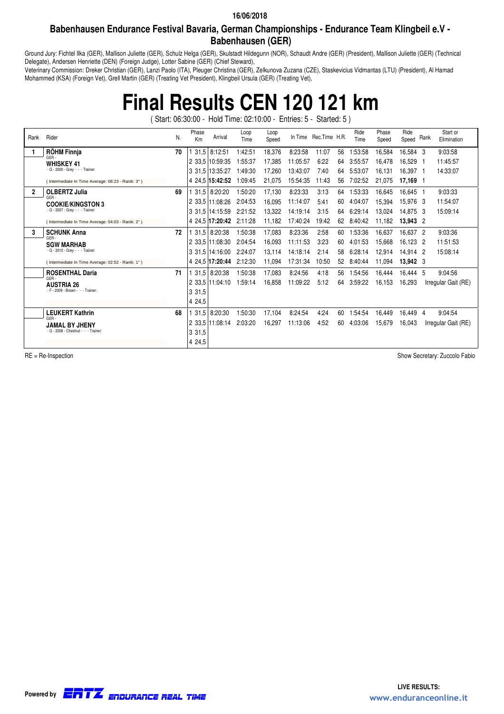### **Babenhausen Endurance Festival Bavaria, German Championships - Endurance Team Klingbeil e.V - Babenhausen (GER)**

Ground Jury: Fichtel Ilka (GER), Mallison Juliette (GER), Schulz Helga (GER), Skulstadt Hildegunn (NOR), Schaudt Andre (GER) (President), Mallison Juliette (GER) (Technical Delegate), Andersen Henriette (DEN) (Foreign Judge), Lotter Sabine (GER) (Chief Steward),

Veterinary Commission: Dreker Christian (GER), Lanzi Paolo (ITA), Pleuger Christina (GER), Zelkunova Zuzana (CZE), Staskevicius Vidmantas (LTU) (President), Al Hamad Mohammed (KSA) (Foreign Vet), Grell Martin (GER) (Treating Vet President), Klingbeil Ursula (GER) (Treating Vet),

# **Final Results CEN 120 121 km**

( Start: 06:30:00 - Hold Time: 02:10:00 - Entries: 5 - Started: 5 )

| Rank           | Rider                                             | N. | Phase<br>Km | Arrival                 | Loop<br>Time | Loop<br>Speed |          | In Time Rec. Time H.R. |    | Ride<br>Time | Phase<br>Speed | Ride<br>Speed | Rank           | Start or<br>Elimination |
|----------------|---------------------------------------------------|----|-------------|-------------------------|--------------|---------------|----------|------------------------|----|--------------|----------------|---------------|----------------|-------------------------|
|                | <b>RÖHM Finnja</b><br>GFR-                        | 70 |             | 131.583:12:51           | 1:42:51      | 18,376        | 8:23:58  | 11:07                  | 56 | 1:53:58      | 16,584         | 16,584 3      |                | 9:03:58                 |
|                | <b>WHISKEY 41</b>                                 |    |             | 2 33.5 10:59:35         | 1:55:37      | 17,385        | 11:05:57 | 6:22                   | 64 | 3:55:57      | 16,478         | 16,529        |                | 11:45:57                |
|                | $-G - 2000 - Grey - - - Trainer$                  |    |             | 3 31.5 13:35:27         | 1:49:30      | 17,260        | 13:43:07 | 7:40                   | 64 | 5:53:07      | 16,131         | 16,397 1      |                | 14:33:07                |
|                | (Intermediate In Time Average: 08:23 - Ranik: 3°) |    |             | 4 24.5 15:42:52         | 1:09:45      | 21,075        | 15:54:35 | 11:43                  | 56 | 7:02:52      | 21,075         | 17,169 1      |                |                         |
| $\overline{2}$ | <b>OLBERTZ Julia</b><br>GER-                      | 69 |             | 31,5 8:20:20            | 1:50:20      | 17,130        | 8:23:33  | 3:13                   | 64 | 1:53:33      | 16,645         | 16,645 1      |                | 9:03:33                 |
|                | <b>COOKIE/KINGSTON 3</b>                          |    |             | 2 33.5 11:08:26         | 2:04:53      | 16,095        | 11:14:07 | 5:41                   | 60 | 4:04:07      | 15,394         | 15,976 3      |                | 11:54:07                |
|                | - G - 2007 - Grey - - - Trainer:                  |    |             | 3 31.5 14:15:59         | 2:21:52      | 13,322        | 14:19:14 | 3:15                   | 64 | 6:29:14      | 13,024         | 14,875 3      |                | 15:09:14                |
|                | (Intermediate In Time Average: 04:03 - Ranik: 2°) |    |             | 4 24.5 17:20:42 2:11:28 |              | 11,182        | 17:40:24 | 19:42                  | 62 | 8:40:42      | 11,182         | 13,943 2      |                |                         |
| 3              | <b>SCHUNK Anna</b>                                | 72 |             | 31.5 8:20:38            | 1:50:38      | 17,083        | 8:23:36  | 2:58                   | 60 | 1:53:36      | 16,637         | 16,637 2      |                | 9:03:36                 |
|                | GER-<br><b>SGW MARHAB</b>                         |    |             | 2 33.5 11:08:30         | 2:04:54      | 16,093        | 11:11:53 | 3:23                   | 60 | 4:01:53      | 15,668         | 16.123 2      |                | 11:51:53                |
|                | $-G - 2010 - Grey - - - Trainer$                  |    |             | 3 31,5 14:16:00         | 2:24:07      | 13,114        | 14:18:14 | 2:14                   | 58 | 6:28:14      | 12,914         | 14.914 2      |                | 15:08:14                |
|                | (Intermediate In Time Average: 02:52 - Ranik: 1°) |    |             | 4 24,5 17:20:44         | 2:12:30      | 11,094        | 17:31:34 | 10:50                  | 52 | 8:40:44      | 11,094         | 13,942 3      |                |                         |
|                | <b>ROSENTHAL Daria</b>                            | 71 |             | 31.5 8:20:38            | 1:50:38      | 17,083        | 8:24:56  | 4:18                   | 56 | 1:54:56      | 16,444         | 16.444 5      |                | 9:04:56                 |
|                | GFR-<br><b>AUSTRIA 26</b>                         |    |             | 2 33.5 11:04:10         | 1:59:14      | 16,858        | 11:09:22 | 5:12                   | 64 | 3:59:22      | 16,153         | 16,293        |                | Irregular Gait (RE)     |
|                | $-F - 2009 - Brown - - - Trainer$                 |    | 3 31,5      |                         |              |               |          |                        |    |              |                |               |                |                         |
|                |                                                   |    | 4 24,5      |                         |              |               |          |                        |    |              |                |               |                |                         |
|                | <b>LEUKERT Kathrin</b>                            | 68 |             | 31,5 8:20:30            | 1:50:30      | 17,104        | 8:24:54  | 4:24                   | 60 | 1:54:54      | 16,449         | 16,449        | $\overline{4}$ | 9:04:54                 |
|                | GFR-<br><b>JAMAL BY JHENY</b>                     |    |             | 2 33.5 11:08:14         | 2:03:20      | 16,297        | 11:13:06 | 4:52                   | 60 | 4:03:06      | 15,679         | 16.043        |                | Irregular Gait (RE)     |
|                | - G - 2008 - Chestnut - - - Trainer:              |    | 3 31,5      |                         |              |               |          |                        |    |              |                |               |                |                         |
|                |                                                   |    | 4 24,5      |                         |              |               |          |                        |    |              |                |               |                |                         |

RE = Re-Inspection Show Secretary: Zuccolo Fabio